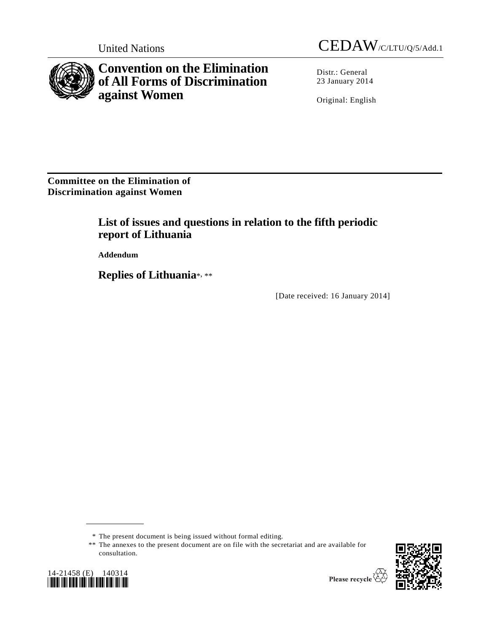

**Convention on the Elimination of All Forms of Discrimination against Women**

United Nations CEDAW/C/LTU/Q/5/Add.1

Distr.: General 23 January 2014

Original: English

**Committee on the Elimination of Discrimination against Women** 

# **List of issues and questions in relation to the fifth periodic report of Lithuania**

**Addendum** 

**Replies of Lithuania**\* , \*\*

[Date received: 16 January 2014]

<sup>\*\*</sup> The annexes to the present document are on file with the secretariat and are available for consultation.





<sup>\*</sup> The present document is being issued without formal editing.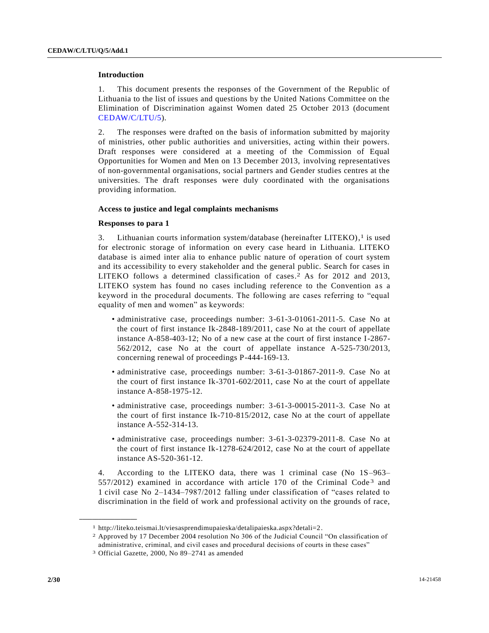# **Introduction**

1. This document presents the responses of the Government of the Republic of Lithuania to the list of issues and questions by the United Nations Committee on the Elimination of Discrimination against Women dated 25 October 2013 (document [CEDAW/C/LTU/5\)](http://undocs.org/CEDAW/C/LTU/5).

2. The responses were drafted on the basis of information submitted by majority of ministries, other public authorities and universities, acting within their powers. Draft responses were considered at a meeting of the Commission of Equal Opportunities for Women and Men on 13 December 2013, involving representatives of non-governmental organisations, social partners and Gender studies centres at the universities. The draft responses were duly coordinated with the organisations providing information.

# **Access to justice and legal complaints mechanisms**

## **Responses to para 1**

3. Lithuanian courts information system/database (hereinafter LITEKO), 1 is used for electronic storage of information on every case heard in Lithuania. LITEKO database is aimed inter alia to enhance public nature of operation of court system and its accessibility to every stakeholder and the general public. Search for cases in LITEKO follows a determined classification of cases. 2 As for 2012 and 2013, LITEKO system has found no cases including reference to the Convention as a keyword in the procedural documents. The following are cases referring to "equal equality of men and women" as keywords:

- administrative case, proceedings number: 3-61-3-01061-2011-5. Case No at the court of first instance Ik-2848-189/2011, case No at the court of appellate instance A-858-403-12; No of a new case at the court of first instance I-2867- 562/2012, case No at the court of appellate instance A-525-730/2013, concerning renewal of proceedings P-444-169-13.
- administrative case, proceedings number: 3-61-3-01867-2011-9. Case No at the court of first instance Ik-3701-602/2011, case No at the court of appellate instance A-858-1975-12.
- administrative case, proceedings number: 3-61-3-00015-2011-3. Case No at the court of first instance Ik-710-815/2012, case No at the court of appellate instance A-552-314-13.
- administrative case, proceedings number: 3-61-3-02379-2011-8. Case No at the court of first instance Ik-1278-624/2012, case No at the court of appellate instance AS-520-361-12.

4. According to the LITEKO data, there was 1 criminal case (No 1S–963–  $557/2012$ ) examined in accordance with article 170 of the Criminal Code<sup>3</sup> and 1 civil case No 2–1434–7987/2012 falling under classification of "cases related to discrimination in the field of work and professional activity on the grounds of race,

<sup>1</sup> http://liteko.teismai.lt/viesasprendimupaieska/detalipaieska.aspx?detali=2.

<sup>2</sup> Approved by 17 December 2004 resolution No 306 of the Judicial Council "On classification of administrative, criminal, and civil cases and procedural decisions of courts in these cases"

<sup>3</sup> Official Gazette, 2000, No 89–2741 as amended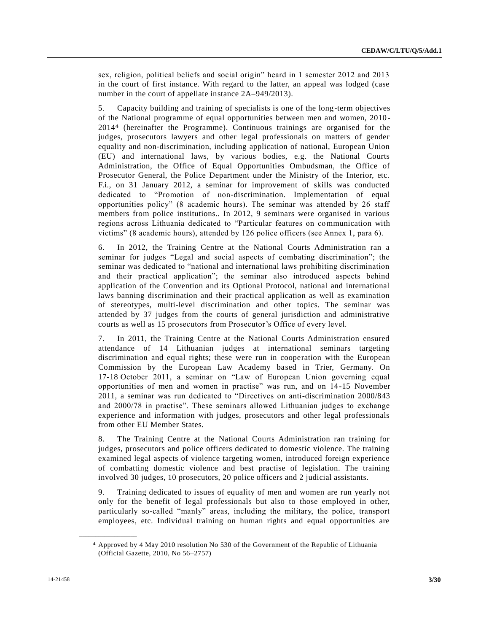sex, religion, political beliefs and social origin" heard in 1 semester 2012 and 2013 in the court of first instance. With regard to the latter, an appeal was lodged (case number in the court of appellate instance 2A–949/2013).

5. Capacity building and training of specialists is one of the long-term objectives of the National programme of equal opportunities between men and women, 2010 - 20144 (hereinafter the Programme). Continuous trainings are organised for the judges, prosecutors lawyers and other legal professionals on matters of gender equality and non-discrimination, including application of national, European Union (EU) and international laws, by various bodies, e.g. the National Courts Administration, the Office of Equal Opportunities Ombudsman, the Office of Prosecutor General, the Police Department under the Ministry of the Interior, etc. F.i., on 31 January 2012, a seminar for improvement of skills was conducted dedicated to "Promotion of non-discrimination. Implementation of equal opportunities policy" (8 academic hours). The seminar was attended by 26 staff members from police institutions.. In 2012, 9 seminars were organised in various regions across Lithuania dedicated to "Particular features on communication with victims" (8 academic hours), attended by 126 police officers (see Annex 1, para 6).

6. In 2012, the Training Centre at the National Courts Administration ran a seminar for judges "Legal and social aspects of combating discrimination"; the seminar was dedicated to "national and international laws prohibiting discrimination and their practical application"; the seminar also introduced aspects behind application of the Convention and its Optional Protocol, national and international laws banning discrimination and their practical application as well as examination of stereotypes, multi-level discrimination and other topics. The seminar was attended by 37 judges from the courts of general jurisdiction and administrative courts as well as 15 prosecutors from Prosecutor's Office of every level.

7. In 2011, the Training Centre at the National Courts Administration ensured attendance of 14 Lithuanian judges at international seminars targeting discrimination and equal rights; these were run in cooperation with the European Commission by the European Law Academy based in Trier, Germany. On 17-18 October 2011, a seminar on "Law of European Union governing equal opportunities of men and women in practise" was run, and on 14-15 November 2011, a seminar was run dedicated to "Directives on anti-discrimination 2000/843 and 2000/78 in practise". These seminars allowed Lithuanian judges to exchange experience and information with judges, prosecutors and other legal professionals from other EU Member States.

8. The Training Centre at the National Courts Administration ran training for judges, prosecutors and police officers dedicated to domestic violence. The training examined legal aspects of violence targeting women, introduced foreign experience of combatting domestic violence and best practise of legislation. The training involved 30 judges, 10 prosecutors, 20 police officers and 2 judicial assistants.

9. Training dedicated to issues of equality of men and women are run yearly not only for the benefit of legal professionals but also to those employed in other, particularly so-called "manly" areas, including the military, the police, transport employees, etc. Individual training on human rights and equal opportunities are

<sup>4</sup> Approved by 4 May 2010 resolution No 530 of the Government of the Republic of Lithuania (Official Gazette, 2010, No 56–2757)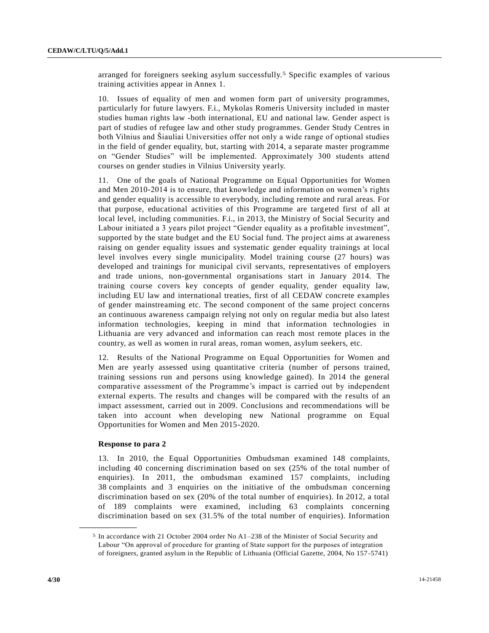arranged for foreigners seeking asylum successfully. 5 Specific examples of various training activities appear in Annex 1.

10. Issues of equality of men and women form part of university programmes, particularly for future lawyers. F.i., Mykolas Romeris University included in master studies human rights law -both international, EU and national law. Gender aspect is part of studies of refugee law and other study programmes. Gender Study Centres in both Vilnius and Šiauliai Universities offer not only a wide range of optional studies in the field of gender equality, but, starting with 2014, a separate master programme on "Gender Studies" will be implemented. Approximately 300 students attend courses on gender studies in Vilnius University yearly.

11. One of the goals of National Programme on Equal Opportunities for Women and Men 2010-2014 is to ensure, that knowledge and information on women's rights and gender equality is accessible to everybody, including remote and rural areas. For that purpose, educational activities of this Programme are targeted first of all at local level, including communities. F.i., in 2013, the Ministry of Social Security and Labour initiated a 3 years pilot project "Gender equality as a profitable investment", supported by the state budget and the EU Social fund. The project aims at awareness raising on gender equality issues and systematic gender equality trainings at local level involves every single municipality. Model training course (27 hours) was developed and trainings for municipal civil servants, representatives of employers and trade unions, non-governmental organisations start in January 2014. The training course covers key concepts of gender equality, gender equality law, including EU law and international treaties, first of all CEDAW concrete examples of gender mainstreaming etc. The second component of the same project concerns an continuous awareness campaign relying not only on regular media but also latest information technologies, keeping in mind that information technologies in Lithuania are very advanced and information can reach most remote places in the country, as well as women in rural areas, roman women, asylum seekers, etc.

12. Results of the National Programme on Equal Opportunities for Women and Men are yearly assessed using quantitative criteria (number of persons trained, training sessions run and persons using knowledge gained). In 2014 the general comparative assessment of the Programme's impact is carried out by independent external experts. The results and changes will be compared with the results of an impact assessment, carried out in 2009. Conclusions and recommendations will be taken into account when developing new National programme on Equal Opportunities for Women and Men 2015-2020.

## **Response to para 2**

**\_\_\_\_\_\_\_\_\_\_\_\_\_\_\_\_\_\_**

13. In 2010, the Equal Opportunities Ombudsman examined 148 complaints, including 40 concerning discrimination based on sex (25% of the total number of enquiries). In 2011, the ombudsman examined 157 complaints, including 38 complaints and 3 enquiries on the initiative of the ombudsman concerning discrimination based on sex (20% of the total number of enquiries). In 2012, a total of 189 complaints were examined, including 63 complaints concerning discrimination based on sex (31.5% of the total number of enquiries). Information

<sup>5</sup> In accordance with 21 October 2004 order No A1–238 of the Minister of Social Security and Labour "On approval of procedure for granting of State support for the purposes of integration of foreigners, granted asylum in the Republic of Lithuania (Official Gazette, 2004, No 157-5741)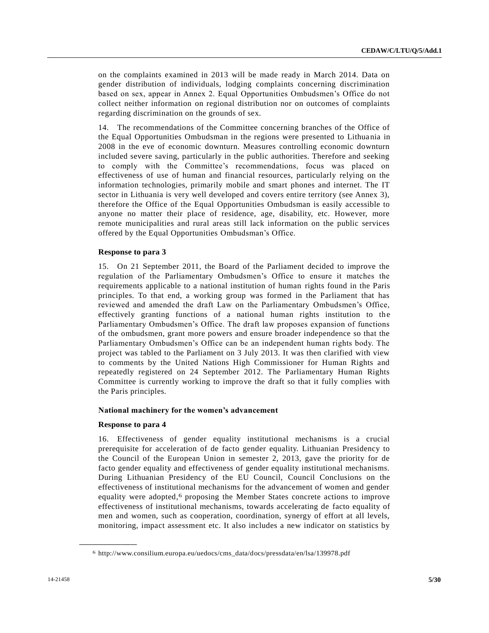on the complaints examined in 2013 will be made ready in March 2014. Data on gender distribution of individuals, lodging complaints concerning discrimination based on sex, appear in Annex 2. Equal Opportunities Ombudsmen's Office do not collect neither information on regional distribution nor on outcomes of complaints regarding discrimination on the grounds of sex.

14. The recommendations of the Committee concerning branches of the Office of the Equal Opportunities Ombudsman in the regions were presented to Lithuania in 2008 in the eve of economic downturn. Measures controlling economic downturn included severe saving, particularly in the public authorities. Therefore and seeking to comply with the Committee's recommendations, focus was placed on effectiveness of use of human and financial resources, particularly relying on the information technologies, primarily mobile and smart phones and internet. The IT sector in Lithuania is very well developed and covers entire territory (see Annex 3), therefore the Office of the Equal Opportunities Ombudsman is easily accessible to anyone no matter their place of residence, age, disability, etc. However, more remote municipalities and rural areas still lack information on the public services offered by the Equal Opportunities Ombudsman's Office.

# **Response to para 3**

15. On 21 September 2011, the Board of the Parliament decided to improve the regulation of the Parliamentary Ombudsmen's Office to ensure it matches the requirements applicable to a national institution of human rights found in the Paris principles. To that end, a working group was formed in the Parliament that has reviewed and amended the draft Law on the Parliamentary Ombudsmen's Office, effectively granting functions of a national human rights institution to the Parliamentary Ombudsmen's Office. The draft law proposes expansion of functions of the ombudsmen, grant more powers and ensure broader independence so that the Parliamentary Ombudsmen's Office can be an independent human rights body. The project was tabled to the Parliament on 3 July 2013. It was then clarified with view to comments by the United Nations High Commissioner for Human Rights and repeatedly registered on 24 September 2012. The Parliamentary Human Rights Committee is currently working to improve the draft so that it fully complies with the Paris principles.

#### **National machinery for the women's advancement**

# **Response to para 4**

**\_\_\_\_\_\_\_\_\_\_\_\_\_\_\_\_\_\_**

16. Effectiveness of gender equality institutional mechanisms is a crucial prerequisite for acceleration of de facto gender equality. Lithuanian Presidency to the Council of the European Union in semester 2, 2013, gave the priority for de facto gender equality and effectiveness of gender equality institutional mechanisms. During Lithuanian Presidency of the EU Council, Council Conclusions on the effectiveness of institutional mechanisms for the advancement of women and gender equality were adopted, 6 proposing the Member States concrete actions to improve effectiveness of institutional mechanisms, towards accelerating de facto equality of men and women, such as cooperation, coordination, synergy of effort at all levels, monitoring, impact assessment etc. It also includes a new indicator on statistics by

<sup>6</sup> http://www.consilium.europa.eu/uedocs/cms\_data/docs/pressdata/en/lsa/139978.pdf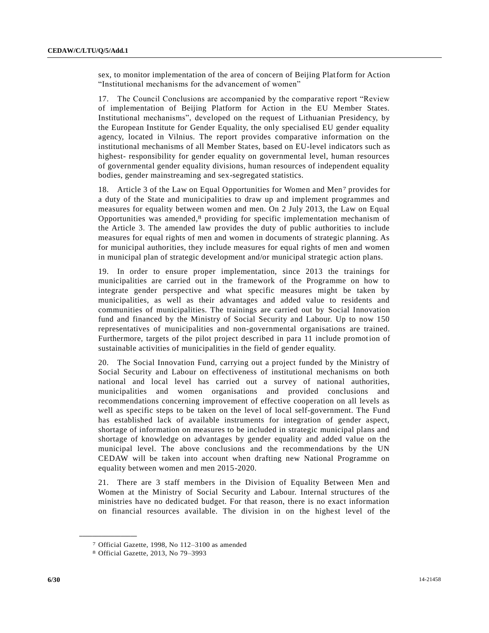sex, to monitor implementation of the area of concern of Beijing Platform for Action "Institutional mechanisms for the advancement of women"

17. The Council Conclusions are accompanied by the comparative report "Review of implementation of Beijing Platform for Action in the EU Member States. Institutional mechanisms", developed on the request of Lithuanian Presidency, by the European Institute for Gender Equality, the only specialised EU gender equality agency, located in Vilnius. The report provides comparative information on the institutional mechanisms of all Member States, based on EU-level indicators such as highest- responsibility for gender equality on governmental level, human resources of governmental gender equality divisions, human resources of independent equality bodies, gender mainstreaming and sex-segregated statistics.

18. Article 3 of the Law on Equal Opportunities for Women and Men7 provides for a duty of the State and municipalities to draw up and implement programmes and measures for equality between women and men. On 2 July 2013, the Law on Equal Opportunities was amended, 8 providing for specific implementation mechanism of the Article 3. The amended law provides the duty of public authorities to include measures for equal rights of men and women in documents of strategic planning. As for municipal authorities, they include measures for equal rights of men and women in municipal plan of strategic development and/or municipal strategic action plans.

19. In order to ensure proper implementation, since 2013 the trainings for municipalities are carried out in the framework of the Programme on how to integrate gender perspective and what specific measures might be taken by municipalities, as well as their advantages and added value to residents and communities of municipalities. The trainings are carried out by Social Innovation fund and financed by the Ministry of Social Security and Labour. Up to now 150 representatives of municipalities and non-governmental organisations are trained. Furthermore, targets of the pilot project described in para 11 include promotion of sustainable activities of municipalities in the field of gender equality.

20. The Social Innovation Fund, carrying out a project funded by the Ministry of Social Security and Labour on effectiveness of institutional mechanisms on both national and local level has carried out a survey of national authorities, municipalities and women organisations and provided conclusions and recommendations concerning improvement of effective cooperation on all levels as well as specific steps to be taken on the level of local self-government. The Fund has established lack of available instruments for integration of gender aspect, shortage of information on measures to be included in strategic municipal plans and shortage of knowledge on advantages by gender equality and added value on the municipal level. The above conclusions and the recommendations by the UN CEDAW will be taken into account when drafting new National Programme on equality between women and men 2015-2020.

21. There are 3 staff members in the Division of Equality Between Men and Women at the Ministry of Social Security and Labour. Internal structures of the ministries have no dedicated budget. For that reason, there is no exact information on financial resources available. The division in on the highest level of the

<sup>7</sup> Official Gazette, 1998, No 112–3100 as amended

<sup>8</sup> Official Gazette, 2013, No 79–3993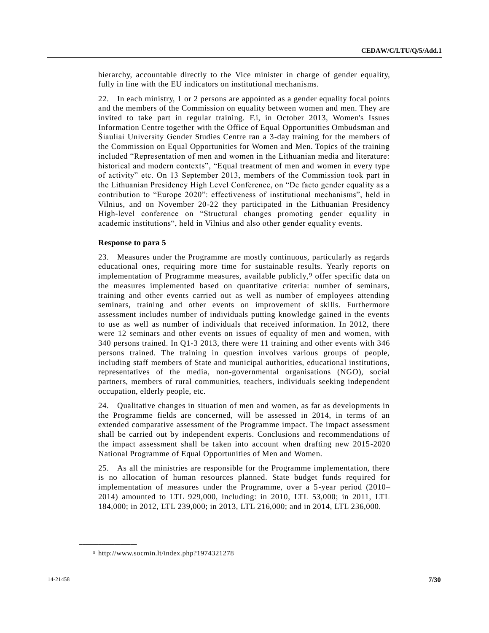hierarchy, accountable directly to the Vice minister in charge of gender equality, fully in line with the EU indicators on institutional mechanisms.

22. In each ministry, 1 or 2 persons are appointed as a gender equality focal points and the members of the Commission on equality between women and men. They are invited to take part in regular training. F.i, in October 2013, Women's Issues Information Centre together with the Office of Equal Opportunities Ombudsman and Šiauliai University Gender Studies Centre ran a 3-day training for the members of the Commission on Equal Opportunities for Women and Men. Topics of the training included "Representation of men and women in the Lithuanian media and literature: historical and modern contexts", "Equal treatment of men and women in every type of activity" etc. On 13 September 2013, members of the Commission took part in the Lithuanian Presidency High Level Conference, on "De facto gender equality as a contribution to "Europe 2020": effectiveness of institutional mechanisms", held in Vilnius, and on November 20-22 they participated in the Lithuanian Presidency High-level conference on "Structural changes promoting gender equality in academic institutions", held in Vilnius and also other gender equality events.

## **Response to para 5**

23. Measures under the Programme are mostly continuous, particularly as regards educational ones, requiring more time for sustainable results. Yearly reports on implementation of Programme measures, available publicly, 9 offer specific data on the measures implemented based on quantitative criteria: number of seminars, training and other events carried out as well as number of employees attending seminars, training and other events on improvement of skills. Furthermore assessment includes number of individuals putting knowledge gained in the events to use as well as number of individuals that received information. In 2012, there were 12 seminars and other events on issues of equality of men and women, with 340 persons trained. In Q1-3 2013, there were 11 training and other events with 346 persons trained. The training in question involves various groups of people, including staff members of State and municipal authorities, educational institutions, representatives of the media, non-governmental organisations (NGO), social partners, members of rural communities, teachers, individuals seeking independent occupation, elderly people, etc.

24. Qualitative changes in situation of men and women, as far as developments in the Programme fields are concerned, will be assessed in 2014, in terms of an extended comparative assessment of the Programme impact. The impact assessment shall be carried out by independent experts. Conclusions and recommendations of the impact assessment shall be taken into account when drafting new 2015-2020 National Programme of Equal Opportunities of Men and Women.

25. As all the ministries are responsible for the Programme implementation, there is no allocation of human resources planned. State budget funds required for implementation of measures under the Programme, over a 5-year period (2010– 2014) amounted to LTL 929,000, including: in 2010, LTL 53,000; in 2011, LTL 184,000; in 2012, LTL 239,000; in 2013, LTL 216,000; and in 2014, LTL 236,000.

<sup>9</sup> http://www.socmin.lt/index.php?1974321278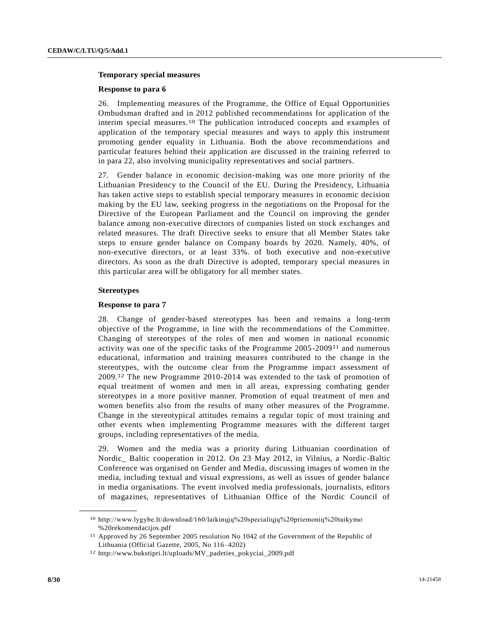#### **Temporary special measures**

#### **Response to para 6**

26. Implementing measures of the Programme, the Office of Equal Opportunities Ombudsman drafted and in 2012 published recommendations for application of the interim special measures. 10 The publication introduced concepts and examples of application of the temporary special measures and ways to apply this instrument promoting gender equality in Lithuania. Both the above recommendations and particular features behind their application are discussed in the training referred to in para 22, also involving municipality representatives and social partners.

27. Gender balance in economic decision-making was one more priority of the Lithuanian Presidency to the Council of the EU. During the Presidency, Lithuania has taken active steps to establish special temporary measures in economic decision making by the EU law, seeking progress in the negotiations on the Proposal for the Directive of the European Parliament and the Council on improving the gender balance among non-executive directors of companies listed on stock exchanges and related measures. The draft Directive seeks to ensure that all Member States take steps to ensure gender balance on Company boards by 2020. Namely, 40%, of non-executive directors, or at least 33%. of both executive and non-executive directors. As soon as the draft Directive is adopted, temporary special measures in this particular area will be obligatory for all member states.

#### **Stereotypes**

**\_\_\_\_\_\_\_\_\_\_\_\_\_\_\_\_\_\_**

#### **Response to para 7**

28. Change of gender-based stereotypes has been and remains a long-term objective of the Programme, in line with the recommendations of the Committee. Changing of stereotypes of the roles of men and women in national economic activity was one of the specific tasks of the Programme 2005-200911 and numerous educational, information and training measures contributed to the change in the stereotypes, with the outcome clear from the Programme impact assessment of 2009. 12 The new Programme 2010-2014 was extended to the task of promotion of equal treatment of women and men in all areas, expressing combating gender stereotypes in a more positive manner. Promotion of equal treatment of men and women benefits also from the results of many other measures of the Programme. Change in the stereotypical attitudes remains a regular topic of most training and other events when implementing Programme measures with the different target groups, including representatives of the media.

29. Women and the media was a priority during Lithuanian coordination of Nordic\_ Baltic cooperation in 2012. On 23 May 2012, in Vilnius, a Nordic-Baltic Conference was organised on Gender and Media, discussing images of women in the media, including textual and visual expressions, as well as issues of gender balance in media organisations. The event involved media professionals, journalists, editors of magazines, representatives of Lithuanian Office of the Nordic Council of

<sup>10</sup> http://www.lygybe.lt/download/160/laikinųjų%20specialiųjų%20priemonių%20taikymo %20rekomendacijos.pdf

<sup>11</sup> Approved by 26 September 2005 resolution No 1042 of the Government of the Republic of Lithuania (Official Gazette, 2005, No 116–4202)

<sup>12</sup> http://www.bukstipri.lt/uploads/MV\_padeties\_pokyciai\_2009.pdf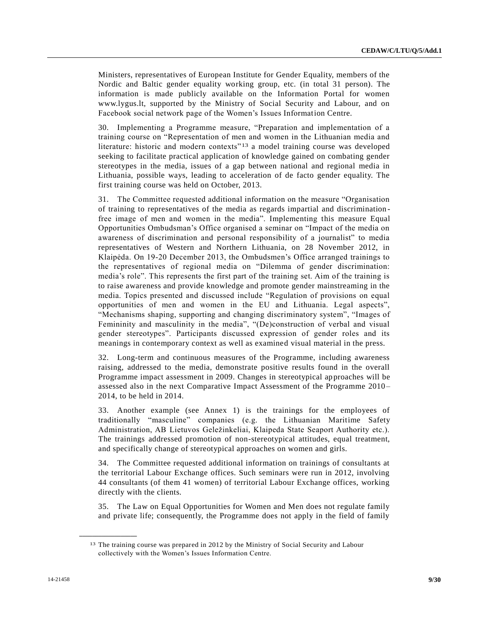Ministers, representatives of European Institute for Gender Equality, members of the Nordic and Baltic gender equality working group, etc. (in total 31 person). The information is made publicly available on the Information Portal for women www.lygus.lt, supported by the Ministry of Social Security and Labour, and on Facebook social network page of the Women's Issues Information Centre.

30. Implementing a Programme measure, "Preparation and implementation of a training course on "Representation of men and women in the Lithuanian media and literature: historic and modern contexts<sup>"13</sup> a model training course was developed seeking to facilitate practical application of knowledge gained on combating gender stereotypes in the media, issues of a gap between national and regional media in Lithuania, possible ways, leading to acceleration of de facto gender equality. The first training course was held on October, 2013.

31. The Committee requested additional information on the measure "Organisation of training to representatives of the media as regards impartial and discrimination free image of men and women in the media". Implementing this measure Equal Opportunities Ombudsman's Office organised a seminar on "Impact of the media on awareness of discrimination and personal responsibility of a journalist" to media representatives of Western and Northern Lithuania, on 28 November 2012, in Klaipėda. On 19-20 December 2013, the Ombudsmen's Office arranged trainings to the representatives of regional media on "Dilemma of gender discrimination: media's role". This represents the first part of the training set. Aim of the training is to raise awareness and provide knowledge and promote gender mainstreaming in the media. Topics presented and discussed include "Regulation of provisions on equal opportunities of men and women in the EU and Lithuania. Legal aspects", "Mechanisms shaping, supporting and changing discriminatory system", "Images of Femininity and masculinity in the media", "(De)construction of verbal and visual gender stereotypes". Participants discussed expression of gender roles and its meanings in contemporary context as well as examined visual material in the press.

32. Long-term and continuous measures of the Programme, including awareness raising, addressed to the media, demonstrate positive results found in the overall Programme impact assessment in 2009. Changes in stereotypical approaches will be assessed also in the next Comparative Impact Assessment of the Programme 2010 – 2014, to be held in 2014.

33. Another example (see Annex 1) is the trainings for the employees of traditionally "masculine" companies (e.g. the Lithuanian Maritime Safety Administration, AB Lietuvos Geležinkeliai, Klaipeda State Seaport Authority etc.). The trainings addressed promotion of non-stereotypical attitudes, equal treatment, and specifically change of stereotypical approaches on women and girls.

34. The Committee requested additional information on trainings of consultants at the territorial Labour Exchange offices. Such seminars were run in 2012, involving 44 consultants (of them 41 women) of territorial Labour Exchange offices, working directly with the clients.

35. The Law on Equal Opportunities for Women and Men does not regulate family and private life; consequently, the Programme does not apply in the field of family

<sup>13</sup> The training course was prepared in 2012 by the Ministry of Social Security and Labour collectively with the Women's Issues Information Centre.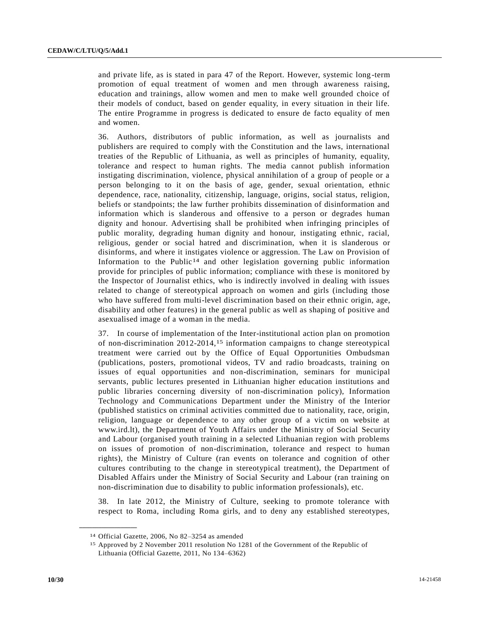and private life, as is stated in para 47 of the Report. However, systemic long -term promotion of equal treatment of women and men through awareness raising, education and trainings, allow women and men to make well grounded choice of their models of conduct, based on gender equality, in every situation in their life. The entire Programme in progress is dedicated to ensure de facto equality of men and women.

36. Authors, distributors of public information, as well as journalists and publishers are required to comply with the Constitution and the laws, international treaties of the Republic of Lithuania, as well as principles of humanity, equality, tolerance and respect to human rights. The media cannot publish information instigating discrimination, violence, physical annihilation of a group of people or a person belonging to it on the basis of age, gender, sexual orientation, ethnic dependence, race, nationality, citizenship, language, origins, social status, religion, beliefs or standpoints; the law further prohibits dissemination of disinformation and information which is slanderous and offensive to a person or degrades human dignity and honour. Advertising shall be prohibited when infringing principles of public morality, degrading human dignity and honour, instigating ethnic, racial, religious, gender or social hatred and discrimination, when it is slanderous or disinforms, and where it instigates violence or aggression. The Law on Provision of Information to the Public<sup>14</sup> and other legislation governing public information provide for principles of public information; compliance with these is monitored by the Inspector of Journalist ethics, who is indirectly involved in dealing with issues related to change of stereotypical approach on women and girls (including those who have suffered from multi-level discrimination based on their ethnic origin, age, disability and other features) in the general public as well as shaping of positive and asexualised image of a woman in the media.

37. In course of implementation of the Inter-institutional action plan on promotion of non-discrimination 2012-2014, 15 information campaigns to change stereotypical treatment were carried out by the Office of Equal Opportunities Ombudsman (publications, posters, promotional videos, TV and radio broadcasts, training on issues of equal opportunities and non-discrimination, seminars for municipal servants, public lectures presented in Lithuanian higher education institutions and public libraries concerning diversity of non-discrimination policy), Information Technology and Communications Department under the Ministry of the Interior (published statistics on criminal activities committed due to nationality, race, origin, religion, language or dependence to any other group of a victim on website at www.ird.lt), the Department of Youth Affairs under the Ministry of Social Security and Labour (organised youth training in a selected Lithuanian region with problems on issues of promotion of non-discrimination, tolerance and respect to human rights), the Ministry of Culture (ran events on tolerance and cognition of other cultures contributing to the change in stereotypical treatment), the Department of Disabled Affairs under the Ministry of Social Security and Labour (ran training on non-discrimination due to disability to public information professionals), etc.

38. In late 2012, the Ministry of Culture, seeking to promote tolerance with respect to Roma, including Roma girls, and to deny any established stereotypes,

<sup>14</sup> Official Gazette, 2006, No 82–3254 as amended

<sup>15</sup> Approved by 2 November 2011 resolution No 1281 of the Government of the Republic of Lithuania (Official Gazette, 2011, No 134–6362)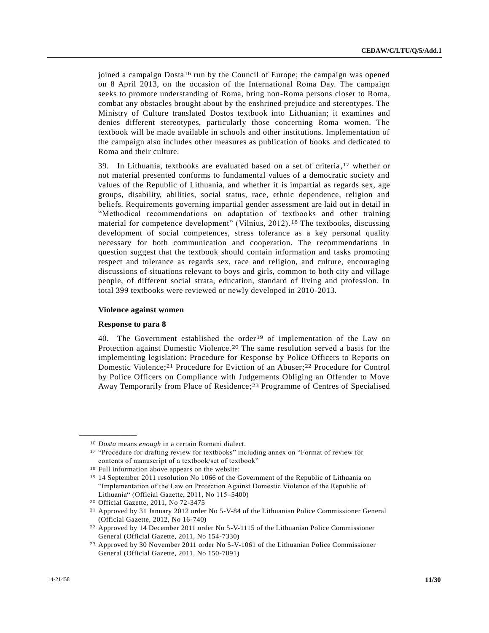joined a campaign Dosta<sup>16</sup> run by the Council of Europe; the campaign was opened on 8 April 2013, on the occasion of the International Roma Day. The campaign seeks to promote understanding of Roma, bring non-Roma persons closer to Roma, combat any obstacles brought about by the enshrined prejudice and stereotypes. The Ministry of Culture translated Dostos textbook into Lithuanian; it examines and denies different stereotypes, particularly those concerning Roma women. The textbook will be made available in schools and other institutions. Implementation of the campaign also includes other measures as publication of books and dedicated to Roma and their culture.

39. In Lithuania, textbooks are evaluated based on a set of criteria, 17 whether or not material presented conforms to fundamental values of a democratic society and values of the Republic of Lithuania, and whether it is impartial as regards sex, age groups, disability, abilities, social status, race, ethnic dependence, religion and beliefs. Requirements governing impartial gender assessment are laid out in detail in "Methodical recommendations on adaptation of textbooks and other training material for competence development" (Vilnius, 2012). 18 The textbooks, discussing development of social competences, stress tolerance as a key personal quality necessary for both communication and cooperation. The recommendations in question suggest that the textbook should contain information and tasks promoting respect and tolerance as regards sex, race and religion, and culture, encouraging discussions of situations relevant to boys and girls, common to both city and village people, of different social strata, education, standard of living and profession. In total 399 textbooks were reviewed or newly developed in 2010-2013.

## **Violence against women**

#### **Response to para 8**

**\_\_\_\_\_\_\_\_\_\_\_\_\_\_\_\_\_\_**

40. The Government established the order<sup>19</sup> of implementation of the Law on Protection against Domestic Violence. 20 The same resolution served a basis for the implementing legislation: Procedure for Response by Police Officers to Reports on Domestic Violence; 21 Procedure for Eviction of an Abuser; 22 Procedure for Control by Police Officers on Compliance with Judgements Obliging an Offender to Move Away Temporarily from Place of Residence; 23 Programme of Centres of Specialised

<sup>16</sup> *Dosta* means *enough* in a certain Romani dialect.

<sup>17</sup> "Procedure for drafting review for textbooks" including annex on "Format of review for contents of manuscript of a textbook/set of textbook"

<sup>18</sup> Full information above appears on the website:

<sup>19</sup> 14 September 2011 resolution No 1066 of the Government of the Republic of Lithuania on "Implementation of the Law on Protection Against Domestic Violence of the Republic of Lithuania" (Official Gazette, 2011, No 115–5400)

<sup>20</sup> Official Gazette, 2011, No 72-3475

<sup>21</sup> Approved by 31 January 2012 order No 5-V-84 of the Lithuanian Police Commissioner General (Official Gazette, 2012, No 16-740)

<sup>22</sup> Approved by 14 December 2011 order No 5-V-1115 of the Lithuanian Police Commissioner General (Official Gazette, 2011, No 154-7330)

<sup>23</sup> Approved by 30 November 2011 order No 5-V-1061 of the Lithuanian Police Commissioner General (Official Gazette, 2011, No 150-7091)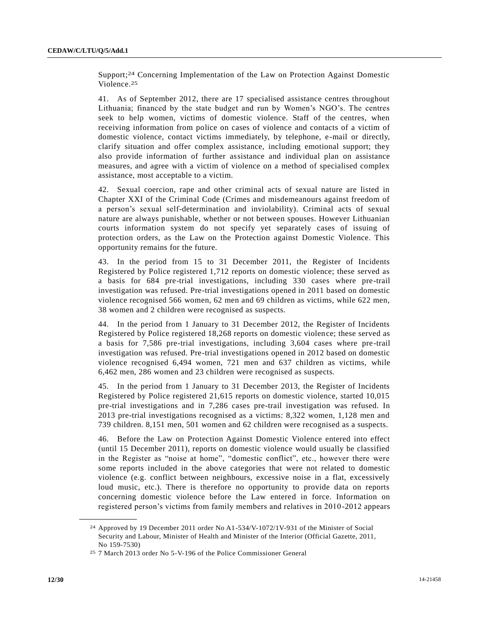Support; 24 Concerning Implementation of the Law on Protection Against Domestic Violence. 25

41. As of September 2012, there are 17 specialised assistance centres throughout Lithuania; financed by the state budget and run by Women's NGO's. The centres seek to help women, victims of domestic violence. Staff of the centres, when receiving information from police on cases of violence and contacts of a victim of domestic violence, contact victims immediately, by telephone, e-mail or directly, clarify situation and offer complex assistance, including emotional support; they also provide information of further assistance and individual plan on assistance measures, and agree with a victim of violence on a method of specialised complex assistance, most acceptable to a victim.

42. Sexual coercion, rape and other criminal acts of sexual nature are listed in Chapter XXI of the Criminal Code (Crimes and misdemeanours against freedom of a person's sexual self-determination and inviolability). Criminal acts of sexual nature are always punishable, whether or not between spouses. However Lithuanian courts information system do not specify yet separately cases of issuing of protection orders, as the Law on the Protection against Domestic Violence. This opportunity remains for the future.

43. In the period from 15 to 31 December 2011, the Register of Incidents Registered by Police registered 1,712 reports on domestic violence; these served as a basis for 684 pre-trial investigations, including 330 cases where pre-trail investigation was refused. Pre-trial investigations opened in 2011 based on domestic violence recognised 566 women, 62 men and 69 children as victims, while 622 men, 38 women and 2 children were recognised as suspects.

44. In the period from 1 January to 31 December 2012, the Register of Incidents Registered by Police registered 18,268 reports on domestic violence; these served as a basis for 7,586 pre-trial investigations, including 3,604 cases where pre-trail investigation was refused. Pre-trial investigations opened in 2012 based on domestic violence recognised 6,494 women, 721 men and 637 children as victims, while 6,462 men, 286 women and 23 children were recognised as suspects.

45. In the period from 1 January to 31 December 2013, the Register of Incidents Registered by Police registered 21,615 reports on domestic violence, started 10,015 pre-trial investigations and in 7,286 cases pre-trail investigation was refused. In 2013 pre-trial investigations recognised as a victims: 8,322 women, 1,128 men and 739 children. 8,151 men, 501 women and 62 children were recognised as a suspects.

46. Before the Law on Protection Against Domestic Violence entered into effect (until 15 December 2011), reports on domestic violence would usually be classified in the Register as "noise at home", "domestic conflict", etc., however there were some reports included in the above categories that were not related to domestic violence (e.g. conflict between neighbours, excessive noise in a flat, excessively loud music, etc.). There is therefore no opportunity to provide data on reports concerning domestic violence before the Law entered in force. Information on registered person's victims from family members and relatives in 2010-2012 appears

<sup>24</sup> Approved by 19 December 2011 order No A1-534/V-1072/1V-931 of the Minister of Social Security and Labour, Minister of Health and Minister of the Interior (Official Gazette, 2011, No 159-7530)

<sup>25</sup> 7 March 2013 order No 5-V-196 of the Police Commissioner General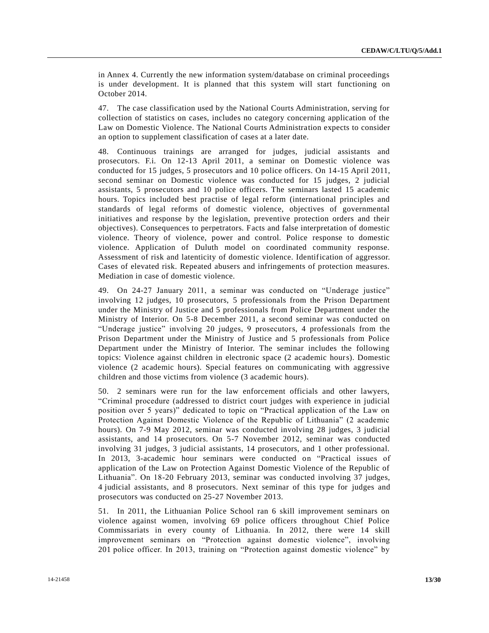in Annex 4. Currently the new information system/database on criminal proceedings is under development. It is planned that this system will start functioning on October 2014.

47. The case classification used by the National Courts Administration, serving for collection of statistics on cases, includes no category concerning application of the Law on Domestic Violence. The National Courts Administration expects to consider an option to supplement classification of cases at a later date.

48. Continuous trainings are arranged for judges, judicial assistants and prosecutors. F.i. On 12-13 April 2011, a seminar on Domestic violence was conducted for 15 judges, 5 prosecutors and 10 police officers. On 14-15 April 2011, second seminar on Domestic violence was conducted for 15 judges, 2 judicial assistants, 5 prosecutors and 10 police officers. The seminars lasted 15 academic hours. Topics included best practise of legal reform (international principles and standards of legal reforms of domestic violence, objectives of governmental initiatives and response by the legislation, preventive protection orders and their objectives). Consequences to perpetrators. Facts and false interpretation of domestic violence. Theory of violence, power and control. Police response to domestic violence. Application of Duluth model on coordinated community response. Assessment of risk and latenticity of domestic violence. Identification of aggressor. Cases of elevated risk. Repeated abusers and infringements of protection measures. Mediation in case of domestic violence.

49. On 24-27 January 2011, a seminar was conducted on "Underage justice" involving 12 judges, 10 prosecutors, 5 professionals from the Prison Department under the Ministry of Justice and 5 professionals from Police Department under the Ministry of Interior. On 5-8 December 2011, a second seminar was conducted on "Underage justice" involving 20 judges, 9 prosecutors, 4 professionals from the Prison Department under the Ministry of Justice and 5 professionals from Police Department under the Ministry of Interior. The seminar includes the following topics: Violence against children in electronic space (2 academic hours). Domestic violence (2 academic hours). Special features on communicating with aggressive children and those victims from violence (3 academic hours).

50. 2 seminars were run for the law enforcement officials and other lawyers, "Criminal procedure (addressed to district court judges with experience in judicial position over 5 years)" dedicated to topic on "Practical application of the Law on Protection Against Domestic Violence of the Republic of Lithuania" (2 academic hours). On 7-9 May 2012, seminar was conducted involving 28 judges, 3 judicial assistants, and 14 prosecutors. On 5-7 November 2012, seminar was conducted involving 31 judges, 3 judicial assistants, 14 prosecutors, and 1 other professional. In 2013, 3-academic hour seminars were conducted on "Practical issues of application of the Law on Protection Against Domestic Violence of the Republic of Lithuania". On 18-20 February 2013, seminar was conducted involving 37 judges, 4 judicial assistants, and 8 prosecutors. Next seminar of this type for judges and prosecutors was conducted on 25-27 November 2013.

51. In 2011, the Lithuanian Police School ran 6 skill improvement seminars on violence against women, involving 69 police officers throughout Chief Police Commissariats in every county of Lithuania. In 2012, there were 14 skill improvement seminars on "Protection against domestic violence", involving 201 police officer. In 2013, training on "Protection against domestic violence" by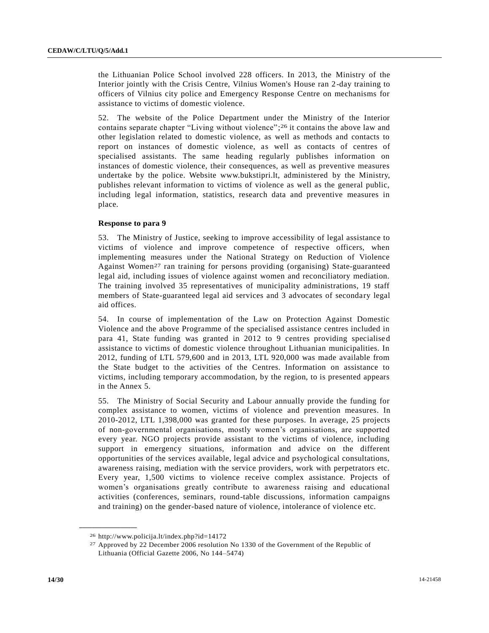the Lithuanian Police School involved 228 officers. In 2013, the Ministry of the Interior jointly with the Crisis Centre, Vilnius Women's House ran 2-day training to officers of Vilnius city police and Emergency Response Centre on mechanisms for assistance to victims of domestic violence.

52. The website of the Police Department under the Ministry of the Interior contains separate chapter "Living without violence"; 26 it contains the above law and other legislation related to domestic violence, as well as methods and contacts to report on instances of domestic violence, as well as contacts of centres of specialised assistants. The same heading regularly publishes information on instances of domestic violence, their consequences, as well as preventive measures undertake by the police. Website www.bukstipri.lt, administered by the Ministry, publishes relevant information to victims of violence as well as the general public, including legal information, statistics, research data and preventive measures in place.

## **Response to para 9**

53. The Ministry of Justice, seeking to improve accessibility of legal assistance to victims of violence and improve competence of respective officers, when implementing measures under the National Strategy on Reduction of Violence Against Women<sup>27</sup> ran training for persons providing (organising) State-guaranteed legal aid, including issues of violence against women and reconciliatory mediation. The training involved 35 representatives of municipality administrations, 19 staff members of State-guaranteed legal aid services and 3 advocates of secondary legal aid offices.

54. In course of implementation of the Law on Protection Against Domestic Violence and the above Programme of the specialised assistance centres included in para 41, State funding was granted in 2012 to 9 centres providing specialise d assistance to victims of domestic violence throughout Lithuanian municipalities. In 2012, funding of LTL 579,600 and in 2013, LTL 920,000 was made available from the State budget to the activities of the Centres. Information on assistance to victims, including temporary accommodation, by the region, to is presented appears in the Annex 5.

55. The Ministry of Social Security and Labour annually provide the funding for complex assistance to women, victims of violence and prevention measures. In 2010-2012, LTL 1,398,000 was granted for these purposes. In average, 25 projects of non-governmental organisations, mostly women's organisations, are supported every year. NGO projects provide assistant to the victims of violence, including support in emergency situations, information and advice on the different opportunities of the services available, legal advice and psychological consultations, awareness raising, mediation with the service providers, work with perpetrators etc. Every year, 1,500 victims to violence receive complex assistance. Projects of women's organisations greatly contribute to awareness raising and educational activities (conferences, seminars, round-table discussions, information campaigns and training) on the gender-based nature of violence, intolerance of violence etc.

<sup>26</sup> http://www.policija.lt/index.php?id=14172

<sup>27</sup> Approved by 22 December 2006 resolution No 1330 of the Government of the Republic of Lithuania (Official Gazette 2006, No 144–5474)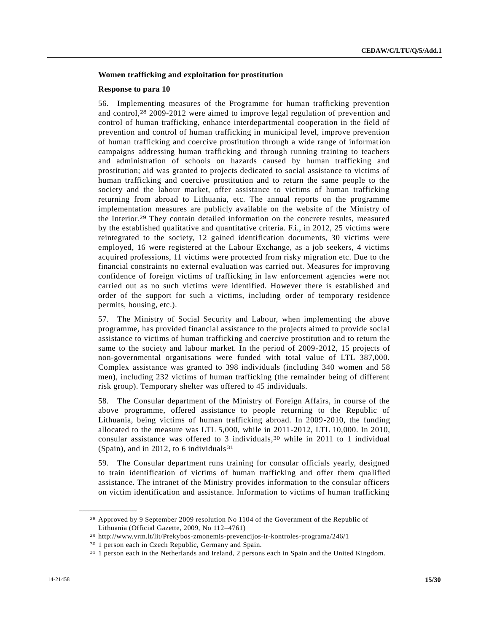# **Women trafficking and exploitation for prostitution**

#### **Response to para 10**

56. Implementing measures of the Programme for human trafficking prevention and control, 28 2009-2012 were aimed to improve legal regulation of prevention and control of human trafficking, enhance interdepartmental cooperation in the field of prevention and control of human trafficking in municipal level, improve prevention of human trafficking and coercive prostitution through a wide range of information campaigns addressing human trafficking and through running training to teachers and administration of schools on hazards caused by human trafficking and prostitution; aid was granted to projects dedicated to social assistance to victims of human trafficking and coercive prostitution and to return the same people to the society and the labour market, offer assistance to victims of human trafficking returning from abroad to Lithuania, etc. The annual reports on the programme implementation measures are publicly available on the website of the Ministry of the Interior. 29 They contain detailed information on the concrete results, measured by the established qualitative and quantitative criteria. F.i., in 2012, 25 victims were reintegrated to the society, 12 gained identification documents, 30 victims were employed, 16 were registered at the Labour Exchange, as a job seekers, 4 victims acquired professions, 11 victims were protected from risky migration etc. Due to the financial constraints no external evaluation was carried out. Measures for improving confidence of foreign victims of trafficking in law enforcement agencies were not carried out as no such victims were identified. However there is established and order of the support for such a victims, including order of temporary residence permits, housing, etc.).

57. The Ministry of Social Security and Labour, when implementing the above programme, has provided financial assistance to the projects aimed to provide social assistance to victims of human trafficking and coercive prostitution and to return the same to the society and labour market. In the period of 2009-2012, 15 projects of non-governmental organisations were funded with total value of LTL 387,000. Complex assistance was granted to 398 individuals (including 340 women and 58 men), including 232 victims of human trafficking (the remainder being of different risk group). Temporary shelter was offered to 45 individuals.

58. The Consular department of the Ministry of Foreign Affairs, in course of the above programme, offered assistance to people returning to the Republic of Lithuania, being victims of human trafficking abroad. In 2009-2010, the funding allocated to the measure was LTL 5,000, while in 2011-2012, LTL 10,000. In 2010, consular assistance was offered to 3 individuals, 30 while in 2011 to 1 individual (Spain), and in 2012, to 6 individuals<sup>31</sup>

59. The Consular department runs training for consular officials yearly, designed to train identification of victims of human trafficking and offer them qua lified assistance. The intranet of the Ministry provides information to the consular officers on victim identification and assistance. Information to victims of human trafficking

<sup>28</sup> Approved by 9 September 2009 resolution No 1104 of the Government of the Republic of Lithuania (Official Gazette, 2009, No 112–4761)

<sup>29</sup> http://www.vrm.lt/lit/Prekybos-zmonemis-prevencijos-ir-kontroles-programa/246/1

<sup>30</sup> 1 person each in Czech Republic, Germany and Spain.

<sup>31</sup> 1 person each in the Netherlands and Ireland, 2 persons each in Spain and the United Kingdom.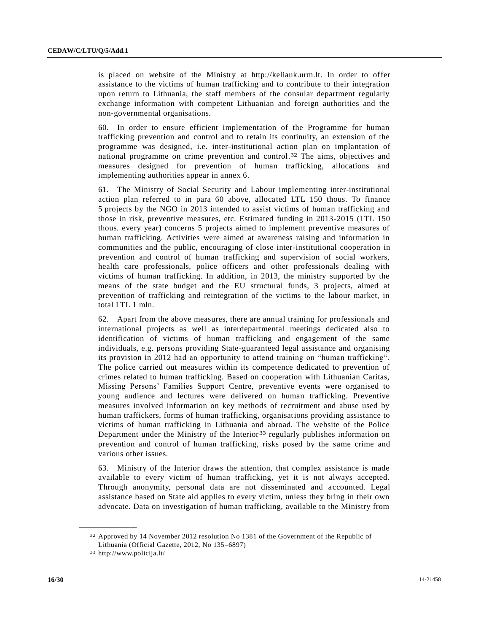is placed on website of the Ministry at http://keliauk.urm.lt. In order to offer assistance to the victims of human trafficking and to contribute to their integration upon return to Lithuania, the staff members of the consular department regularly exchange information with competent Lithuanian and foreign authorities and the non-governmental organisations.

60. In order to ensure efficient implementation of the Programme for human trafficking prevention and control and to retain its continuity, an extension of the programme was designed, i.e. inter-institutional action plan on implantation of national programme on crime prevention and control. 32 The aims, objectives and measures designed for prevention of human trafficking, allocations and implementing authorities appear in annex 6.

61. The Ministry of Social Security and Labour implementing inter-institutional action plan referred to in para 60 above, allocated LTL 150 thous. To finance 5 projects by the NGO in 2013 intended to assist victims of human trafficking and those in risk, preventive measures, etc. Estimated funding in 2013-2015 (LTL 150 thous. every year) concerns 5 projects aimed to implement preventive measures of human trafficking. Activities were aimed at awareness raising and information in communities and the public, encouraging of close inter-institutional cooperation in prevention and control of human trafficking and supervision of social workers, health care professionals, police officers and other professionals dealing with victims of human trafficking. In addition, in 2013, the ministry supported by the means of the state budget and the EU structural funds, 3 projects, aimed at prevention of trafficking and reintegration of the victims to the labour market, in total LTL 1 mln.

62. Apart from the above measures, there are annual training for professionals and international projects as well as interdepartmental meetings dedicated also to identification of victims of human trafficking and engagement of the same individuals, e.g. persons providing State-guaranteed legal assistance and organising its provision in 2012 had an opportunity to attend training on "human trafficking". The police carried out measures within its competence dedicated to prevention of crimes related to human trafficking. Based on cooperation with Lithuanian Caritas, Missing Persons' Families Support Centre, preventive events were organised to young audience and lectures were delivered on human trafficking. Preventive measures involved information on key methods of recruitment and abuse used by human traffickers, forms of human trafficking, organisations providing assistance to victims of human trafficking in Lithuania and abroad. The website of the Police Department under the Ministry of the Interior<sup>33</sup> regularly publishes information on prevention and control of human trafficking, risks posed by the same crime and various other issues.

63. Ministry of the Interior draws the attention, that complex assistance is made available to every victim of human trafficking, yet it is not always accepted. Through anonymity, personal data are not disseminated and accounted. Legal assistance based on State aid applies to every victim, unless they bring in their own advocate. Data on investigation of human trafficking, available to the Ministry from

<sup>32</sup> Approved by 14 November 2012 resolution No 1381 of the Government of the Republic of Lithuania (Official Gazette, 2012, No 135–6897)

<sup>33</sup> http://www.policija.lt/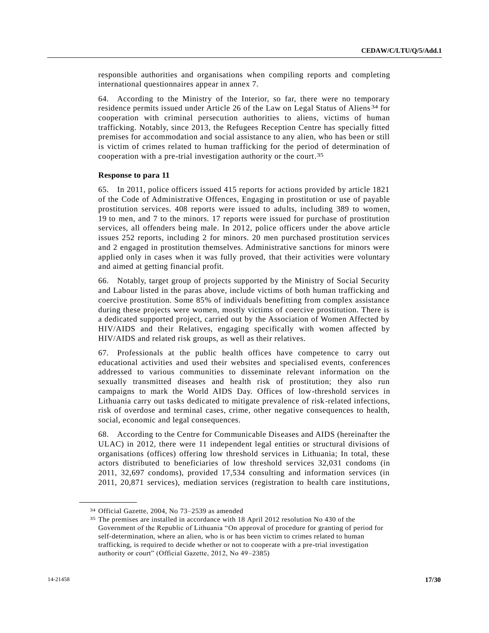responsible authorities and organisations when compiling reports and completing international questionnaires appear in annex 7.

64. According to the Ministry of the Interior, so far, there were no temporary residence permits issued under Article 26 of the Law on Legal Status of Aliens 34 for cooperation with criminal persecution authorities to aliens, victims of human trafficking. Notably, since 2013, the Refugees Reception Centre has specially fitted premises for accommodation and social assistance to any alien, who has been or still is victim of crimes related to human trafficking for the period of determination of cooperation with a pre-trial investigation authority or the court. 35

# **Response to para 11**

65. In 2011, police officers issued 415 reports for actions provided by article 1821 of the Code of Administrative Offences, Engaging in prostitution or use of payable prostitution services. 408 reports were issued to adults, including 389 to women, 19 to men, and 7 to the minors. 17 reports were issued for purchase of prostitution services, all offenders being male. In 2012, police officers under the above article issues 252 reports, including 2 for minors. 20 men purchased prostitution services and 2 engaged in prostitution themselves. Administrative sanctions for minors were applied only in cases when it was fully proved, that their activities were voluntary and aimed at getting financial profit.

66. Notably, target group of projects supported by the Ministry of Social Security and Labour listed in the paras above, include victims of both human trafficking and coercive prostitution. Some 85% of individuals benefitting from complex assistance during these projects were women, mostly victims of coercive prostitution. There is a dedicated supported project, carried out by the Association of Women Affected by HIV/AIDS and their Relatives, engaging specifically with women affected by HIV/AIDS and related risk groups, as well as their relatives.

67. Professionals at the public health offices have competence to carry out educational activities and used their websites and specialised events, conferences addressed to various communities to disseminate relevant information on the sexually transmitted diseases and health risk of prostitution; they also run campaigns to mark the World AIDS Day. Offices of low-threshold services in Lithuania carry out tasks dedicated to mitigate prevalence of risk-related infections, risk of overdose and terminal cases, crime, other negative consequences to health, social, economic and legal consequences.

68. According to the Centre for Communicable Diseases and AIDS (hereinafter the ULAC) in 2012, there were 11 independent legal entities or structural divisions of organisations (offices) offering low threshold services in Lithuania; In total, these actors distributed to beneficiaries of low threshold services 32,031 condoms (in 2011, 32,697 condoms), provided 17,534 consulting and information services (in 2011, 20,871 services), mediation services (registration to health care institutions,

<sup>34</sup> Official Gazette, 2004, No 73–2539 as amended

<sup>35</sup> The premises are installed in accordance with 18 April 2012 resolution No 430 of the Government of the Republic of Lithuania "On approval of procedure for granting of period for self-determination, where an alien, who is or has been victim to crimes related to human trafficking, is required to decide whether or not to cooperate with a pre-trial investigation authority or court" (Official Gazette, 2012, No 49–2385)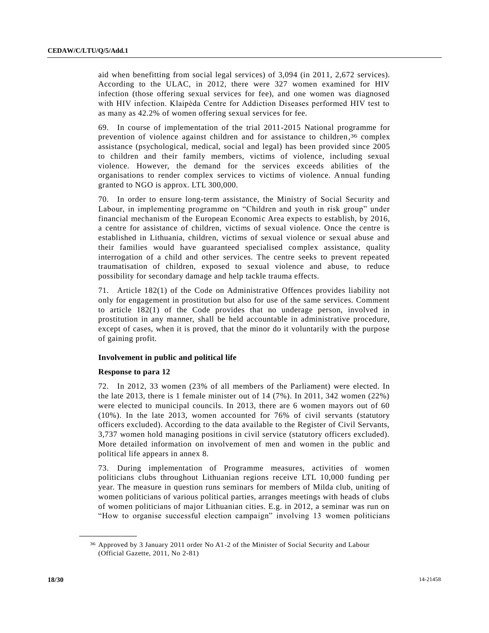aid when benefitting from social legal services) of 3,094 (in 2011, 2,672 services). According to the ULAC, in 2012, there were 327 women examined for HIV infection (those offering sexual services for fee), and one women was diagnosed with HIV infection. Klaipėda Centre for Addiction Diseases performed HIV test to as many as 42.2% of women offering sexual services for fee.

69. In course of implementation of the trial 2011-2015 National programme for prevention of violence against children and for assistance to children,<sup>36</sup> complex assistance (psychological, medical, social and legal) has been provided since 2005 to children and their family members, victims of violence, including sexual violence. However, the demand for the services exceeds abilities of the organisations to render complex services to victims of violence. Annual funding granted to NGO is approx. LTL 300,000.

70. In order to ensure long-term assistance, the Ministry of Social Security and Labour, in implementing programme on "Children and youth in risk group" under financial mechanism of the European Economic Area expects to establish, by 2016, a centre for assistance of children, victims of sexual violence. Once the centre is established in Lithuania, children, victims of sexual violence or sexual abuse and their families would have guaranteed specialised complex assistance, quality interrogation of a child and other services. The centre seeks to prevent repeated traumatisation of children, exposed to sexual violence and abuse, to reduce possibility for secondary damage and help tackle trauma effects.

71. Article 182(1) of the Code on Administrative Offences provides liability not only for engagement in prostitution but also for use of the same services. Comment to article 182(1) of the Code provides that no underage person, involved in prostitution in any manner, shall be held accountable in administrative procedure, except of cases, when it is proved, that the minor do it voluntarily with the purpose of gaining profit.

# **Involvement in public and political life**

# **Response to para 12**

**\_\_\_\_\_\_\_\_\_\_\_\_\_\_\_\_\_\_**

72. In 2012, 33 women (23% of all members of the Parliament) were elected. In the late 2013, there is 1 female minister out of 14 (7%). In 2011, 342 women (22%) were elected to municipal councils. In 2013, there are 6 women mayors out of 60 (10%). In the late 2013, women accounted for 76% of civil servants (statutory officers excluded). According to the data available to the Register of Civil Servants, 3,737 women hold managing positions in civil service (statutory officers excluded). More detailed information on involvement of men and women in the public and political life appears in annex 8.

73. During implementation of Programme measures, activities of women politicians clubs throughout Lithuanian regions receive LTL 10,000 funding per year. The measure in question runs seminars for members of Milda club, uniting of women politicians of various political parties, arranges meetings with heads of clubs of women politicians of major Lithuanian cities. E.g. in 2012, a seminar was run on "How to organise successful election campaign" involving 13 women politicians

<sup>36</sup> Approved by 3 January 2011 order No A1-2 of the Minister of Social Security and Labour (Official Gazette, 2011, No 2-81)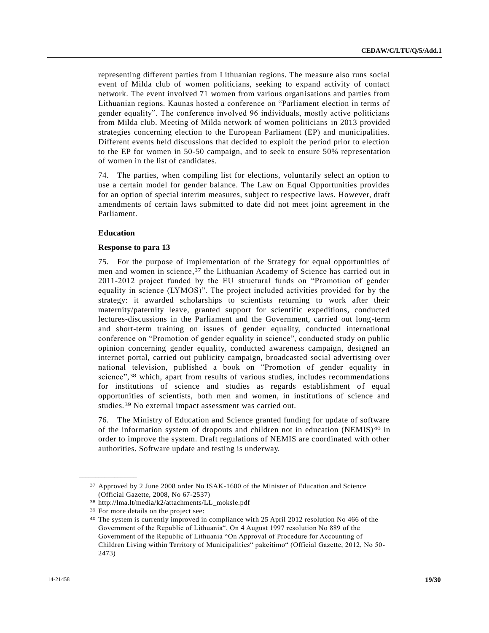representing different parties from Lithuanian regions. The measure also runs social event of Milda club of women politicians, seeking to expand activity of contact network. The event involved 71 women from various organisations and parties from Lithuanian regions. Kaunas hosted a conference on "Parliament election in terms of gender equality". The conference involved 96 individuals, mostly active politicians from Milda club. Meeting of Milda network of women politicians in 2013 provided strategies concerning election to the European Parliament (EP) and municipalities. Different events held discussions that decided to exploit the period prior to election to the EP for women in 50-50 campaign, and to seek to ensure 50% representation of women in the list of candidates.

74. The parties, when compiling list for elections, voluntarily select an option to use a certain model for gender balance. The Law on Equal Opportunities provides for an option of special interim measures, subject to respective laws. However, draft amendments of certain laws submitted to date did not meet joint agreement in the Parliament.

# **Education**

# **Response to para 13**

75. For the purpose of implementation of the Strategy for equal opportunities of men and women in science, 37 the Lithuanian Academy of Science has carried out in 2011-2012 project funded by the EU structural funds on "Promotion of gender equality in science (LYMOS)". The project included activities provided for by the strategy: it awarded scholarships to scientists returning to work after their maternity/paternity leave, granted support for scientific expeditions, conducted lectures-discussions in the Parliament and the Government, carried out long-term and short-term training on issues of gender equality, conducted international conference on "Promotion of gender equality in science", conducted study on public opinion concerning gender equality, conducted awareness campaign, designed an internet portal, carried out publicity campaign, broadcasted social advertising over national television, published a book on "Promotion of gender equality in science", 38 which, apart from results of various studies, includes recommendations for institutions of science and studies as regards establishment of equal opportunities of scientists, both men and women, in institutions of science and studies.39 No external impact assessment was carried out.

76. The Ministry of Education and Science granted funding for update of software of the information system of dropouts and children not in education (NEMIS)<sup>40</sup> in order to improve the system. Draft regulations of NEMIS are coordinated with other authorities. Software update and testing is underway.

<sup>37</sup> Approved by 2 June 2008 order No ISAK-1600 of the Minister of Education and Science (Official Gazette, 2008, No 67-2537)

<sup>38</sup> http://lma.lt/media/k2/attachments/LL\_moksle.pdf

<sup>39</sup> For more details on the project see:

<sup>40</sup> The system is currently improved in compliance with 25 April 2012 resolution No 466 of the Government of the Republic of Lithuania", On 4 August 1997 resolution No 889 of the Government of the Republic of Lithuania "On Approval of Procedure for Accounting of Children Living within Territory of Municipalities" pakeitimo" (Official Gazette, 2012, No 50- 2473)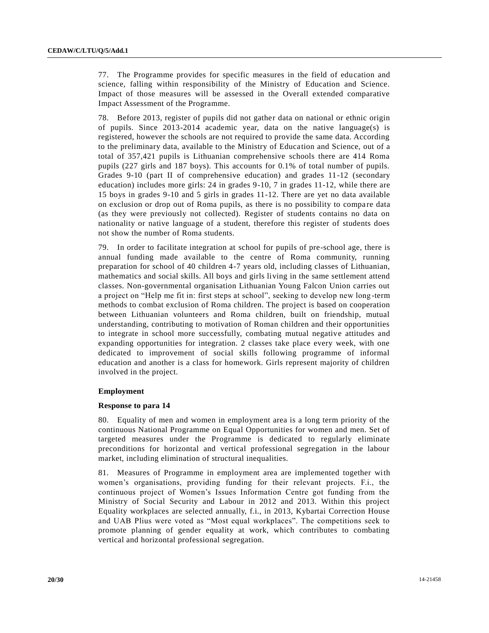77. The Programme provides for specific measures in the field of education and science, falling within responsibility of the Ministry of Education and Science. Impact of those measures will be assessed in the Overall extended comparative Impact Assessment of the Programme.

78. Before 2013, register of pupils did not gather data on national or ethnic origin of pupils. Since 2013-2014 academic year, data on the native language(s) is registered, however the schools are not required to provide the same data. According to the preliminary data, available to the Ministry of Education and Science, out of a total of 357,421 pupils is Lithuanian comprehensive schools there are 414 Roma pupils (227 girls and 187 boys). This accounts for 0.1% of total number of pupils. Grades 9-10 (part II of comprehensive education) and grades 11-12 (secondary education) includes more girls: 24 in grades 9-10, 7 in grades 11-12, while there are 15 boys in grades 9-10 and 5 girls in grades 11-12. There are yet no data available on exclusion or drop out of Roma pupils, as there is no possibility to compa re data (as they were previously not collected). Register of students contains no data on nationality or native language of a student, therefore this register of students does not show the number of Roma students.

79. In order to facilitate integration at school for pupils of pre-school age, there is annual funding made available to the centre of Roma community, running preparation for school of 40 children 4-7 years old, including classes of Lithuanian, mathematics and social skills. All boys and girls living in the same settlement attend classes. Non-governmental organisation Lithuanian Young Falcon Union carries out a project on "Help me fit in: first steps at school", seeking to develop new long -term methods to combat exclusion of Roma children. The project is based on cooperation between Lithuanian volunteers and Roma children, built on friendship, mutual understanding, contributing to motivation of Roman children and their opportunities to integrate in school more successfully, combating mutual negative attitudes and expanding opportunities for integration. 2 classes take place every week, with one dedicated to improvement of social skills following programme of informal education and another is a class for homework. Girls represent majority of children involved in the project.

# **Employment**

#### **Response to para 14**

80. Equality of men and women in employment area is a long term priority of the continuous National Programme on Equal Opportunities for women and men. Set of targeted measures under the Programme is dedicated to regularly eliminate preconditions for horizontal and vertical professional segregation in the labour market, including elimination of structural inequalities.

81. Measures of Programme in employment area are implemented together with women's organisations, providing funding for their relevant projects. F.i., the continuous project of Women's Issues Information Centre got funding from the Ministry of Social Security and Labour in 2012 and 2013. Within this project Equality workplaces are selected annually, f.i., in 2013, Kybartai Correction House and UAB Plius were voted as "Most equal workplaces". The competitions seek to promote planning of gender equality at work, which contributes to combating vertical and horizontal professional segregation.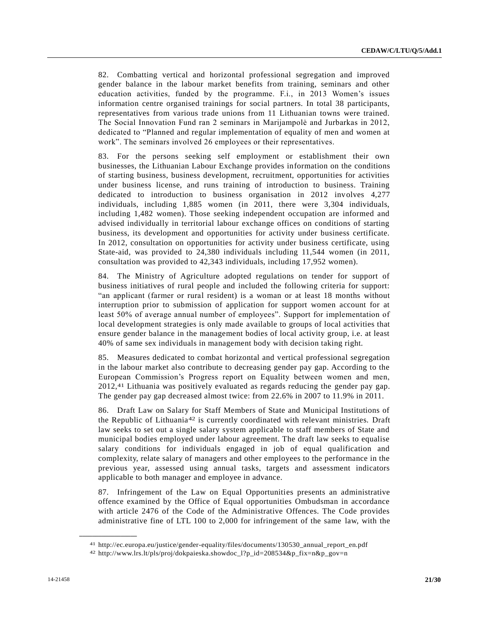82. Combatting vertical and horizontal professional segregation and improved gender balance in the labour market benefits from training, seminars and other education activities, funded by the programme. F.i., in 2013 Women's issues information centre organised trainings for social partners. In total 38 participants, representatives from various trade unions from 11 Lithuanian towns were trained. The Social Innovation Fund ran 2 seminars in Marijampolė and Jurbarkas in 2012, dedicated to "Planned and regular implementation of equality of men and women at work". The seminars involved 26 employees or their representatives.

83. For the persons seeking self employment or establishment their own businesses, the Lithuanian Labour Exchange provides information on the conditions of starting business, business development, recruitment, opportunities for activities under business license, and runs training of introduction to business. Training dedicated to introduction to business organisation in 2012 involves 4,277 individuals, including 1,885 women (in 2011, there were 3,304 individuals, including 1,482 women). Those seeking independent occupation are informed and advised individually in territorial labour exchange offices on conditions of starting business, its development and opportunities for activity under business certificate. In 2012, consultation on opportunities for activity under business certificate, using State-aid, was provided to 24,380 individuals including 11,544 women (in 2011, consultation was provided to 42,343 individuals, including 17,952 women).

84. The Ministry of Agriculture adopted regulations on tender for support of business initiatives of rural people and included the following criteria for support: "an applicant (farmer or rural resident) is a woman or at least 18 months without interruption prior to submission of application for support women account for at least 50% of average annual number of employees". Support for implementation of local development strategies is only made available to groups of local activities that ensure gender balance in the management bodies of local activity group, i.e. at least 40% of same sex individuals in management body with decision taking right.

85. Measures dedicated to combat horizontal and vertical professional segregation in the labour market also contribute to decreasing gender pay gap. According to the European Commission's Progress report on Equality between women and men, 2012, 41 Lithuania was positively evaluated as regards reducing the gender pay gap. The gender pay gap decreased almost twice: from 22.6% in 2007 to 11.9% in 2011.

86. Draft Law on Salary for Staff Members of State and Municipal Institutions of the Republic of Lithuania42 is currently coordinated with relevant ministries. Draft law seeks to set out a single salary system applicable to staff members of State and municipal bodies employed under labour agreement. The draft law seeks to equalise salary conditions for individuals engaged in job of equal qualification and complexity, relate salary of managers and other employees to the performance in the previous year, assessed using annual tasks, targets and assessment indicators applicable to both manager and employee in advance.

87. Infringement of the Law on Equal Opportunities presents an administrative offence examined by the Office of Equal opportunities Ombudsman in accordance with article 2476 of the Code of the Administrative Offences. The Code provides administrative fine of LTL 100 to 2,000 for infringement of the same law, with the

<sup>41</sup> http://ec.europa.eu/justice/gender-equality/files/documents/130530\_annual\_report\_en.pdf

<sup>42</sup> http://www.lrs.lt/pls/proj/dokpaieska.showdoc\_l?p\_id=208534&p\_fix=n&p\_gov=n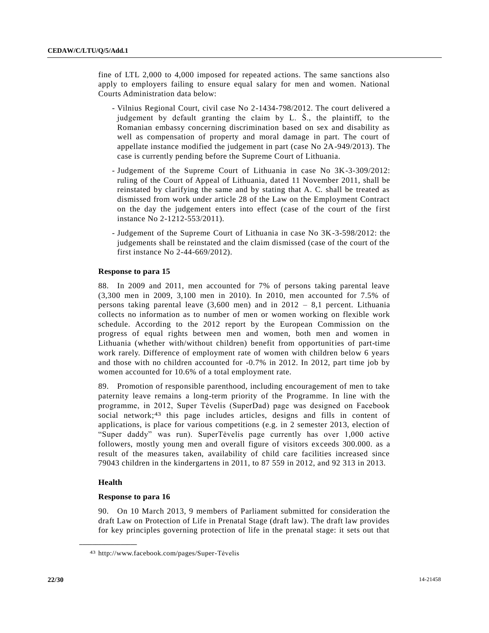fine of LTL 2,000 to 4,000 imposed for repeated actions. The same sanctions also apply to employers failing to ensure equal salary for men and women. National Courts Administration data below:

- Vilnius Regional Court, civil case No 2-1434-798/2012. The court delivered a judgement by default granting the claim by L. Š., the plaintiff, to the Romanian embassy concerning discrimination based on sex and disability as well as compensation of property and moral damage in part. The court of appellate instance modified the judgement in part (case No 2A-949/2013). The case is currently pending before the Supreme Court of Lithuania.
- Judgement of the Supreme Court of Lithuania in case No 3K-3-309/2012: ruling of the Court of Appeal of Lithuania, dated 11 November 2011, shall be reinstated by clarifying the same and by stating that A. C. shall be treated as dismissed from work under article 28 of the Law on the Employment Contract on the day the judgement enters into effect (case of the court of the first instance No 2-1212-553/2011).
- Judgement of the Supreme Court of Lithuania in case No 3K-3-598/2012: the judgements shall be reinstated and the claim dismissed (case of the court of the first instance No 2-44-669/2012).

# **Response to para 15**

88. In 2009 and 2011, men accounted for 7% of persons taking parental leave (3,300 men in 2009, 3,100 men in 2010). In 2010, men accounted for 7.5% of persons taking parental leave (3,600 men) and in 2012 – 8,1 percent. Lithuania collects no information as to number of men or women working on flexible work schedule. According to the 2012 report by the European Commission on the progress of equal rights between men and women, both men and women in Lithuania (whether with/without children) benefit from opportunities of part-time work rarely. Difference of employment rate of women with children below 6 years and those with no children accounted for -0.7% in 2012. In 2012, part time job by women accounted for 10.6% of a total employment rate.

89. Promotion of responsible parenthood, including encouragement of men to take paternity leave remains a long-term priority of the Programme. In line with the programme, in 2012, Super Tėvelis (SuperDad) page was designed on Facebook social network;<sup>43</sup> this page includes articles, designs and fills in content of applications, is place for various competitions (e.g. in 2 semester 2013, election of "Super daddy" was run). SuperTėvelis page currently has over 1,000 active followers, mostly young men and overall figure of visitors exceeds 300.000. as a result of the measures taken, availability of child care facilities increased since 79043 children in the kindergartens in 2011, to 87 559 in 2012, and 92 313 in 2013.

# **Health**

**\_\_\_\_\_\_\_\_\_\_\_\_\_\_\_\_\_\_**

#### **Response to para 16**

90. On 10 March 2013, 9 members of Parliament submitted for consideration the draft Law on Protection of Life in Prenatal Stage (draft law). The draft law provides for key principles governing protection of life in the prenatal stage: it sets out that

<sup>43</sup> http://www.facebook.com/pages/Super-Tėvelis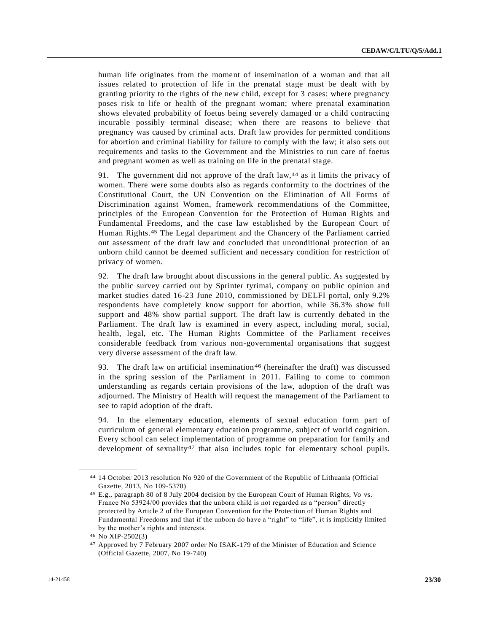human life originates from the moment of insemination of a woman and that all issues related to protection of life in the prenatal stage must be dealt with by granting priority to the rights of the new child, except for 3 cases: where pregnancy poses risk to life or health of the pregnant woman; where prenatal examination shows elevated probability of foetus being severely damaged or a child contracting incurable possibly terminal disease; when there are reasons to believe that pregnancy was caused by criminal acts. Draft law provides for permitted conditions for abortion and criminal liability for failure to comply with the law; it also sets out requirements and tasks to the Government and the Ministries to run care of foetus and pregnant women as well as training on life in the prenatal stage.

91. The government did not approve of the draft law, 44 as it limits the privacy of women. There were some doubts also as regards conformity to the doctrines of the Constitutional Court, the UN Convention on the Elimination of All Forms of Discrimination against Women, framework recommendations of the Committee, principles of the European Convention for the Protection of Human Rights and Fundamental Freedoms, and the case law established by the European Court of Human Rights. 45 The Legal department and the Chancery of the Parliament carried out assessment of the draft law and concluded that unconditional protection of an unborn child cannot be deemed sufficient and necessary condition for restriction of privacy of women.

92. The draft law brought about discussions in the general public. As suggested by the public survey carried out by Sprinter tyrimai, company on public opinion and market studies dated 16-23 June 2010, commissioned by DELFI portal, only 9.2% respondents have completely know support for abortion, while 36.3% show full support and 48% show partial support. The draft law is currently debated in the Parliament. The draft law is examined in every aspect, including moral, social, health, legal, etc. The Human Rights Committee of the Parliament receives considerable feedback from various non-governmental organisations that suggest very diverse assessment of the draft law.

93. The draft law on artificial insemination<sup>46</sup> (hereinafter the draft) was discussed in the spring session of the Parliament in 2011. Failing to come to common understanding as regards certain provisions of the law, adoption of the draft was adjourned. The Ministry of Health will request the management of the Parliament to see to rapid adoption of the draft.

94. In the elementary education, elements of sexual education form part of curriculum of general elementary education programme, subject of world cognition. Every school can select implementation of programme on preparation for family and development of sexuality47 that also includes topic for elementary school pupils.

<sup>44</sup> 14 October 2013 resolution No 920 of the Government of the Republic of Lithuania (Official Gazette, 2013, No 109-5378)

<sup>45</sup> E.g., paragraph 80 of 8 July 2004 decision by the European Court of Human Rights, Vo vs. France No 53924/00 provides that the unborn child is not regarded as a "person" directly protected by Article 2 of the European Convention for the Protection of Human Rights and Fundamental Freedoms and that if the unborn do have a "right" to "life", it is implicitly limited by the mother's rights and interests.

<sup>46</sup> No XIP-2502(3)

<sup>47</sup> Approved by 7 February 2007 order No ISAK-179 of the Minister of Education and Science (Official Gazette, 2007, No 19-740)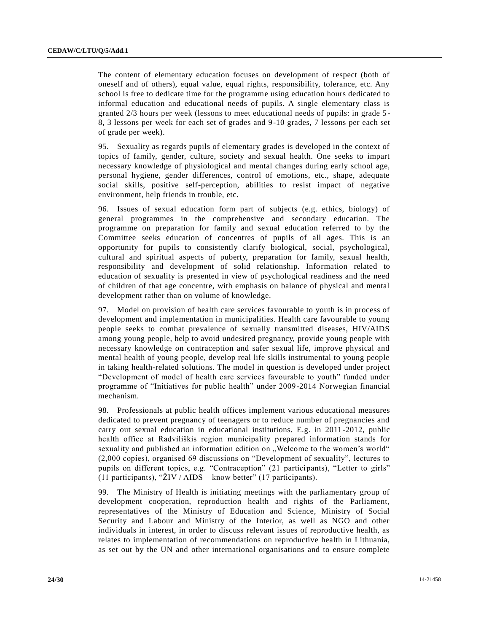The content of elementary education focuses on development of respect (both of oneself and of others), equal value, equal rights, responsibility, tolerance, etc. Any school is free to dedicate time for the programme using education hours dedicated to informal education and educational needs of pupils. A single elementary class is granted 2/3 hours per week (lessons to meet educational needs of pupils: in grade 5 - 8, 3 lessons per week for each set of grades and 9-10 grades, 7 lessons per each set of grade per week).

95. Sexuality as regards pupils of elementary grades is developed in the context of topics of family, gender, culture, society and sexual health. One seeks to impart necessary knowledge of physiological and mental changes during early school age, personal hygiene, gender differences, control of emotions, etc., shape, adequate social skills, positive self-perception, abilities to resist impact of negative environment, help friends in trouble, etc.

96. Issues of sexual education form part of subjects (e.g. ethics, biology) of general programmes in the comprehensive and secondary education. The programme on preparation for family and sexual education referred to by the Committee seeks education of concentres of pupils of all ages. This is an opportunity for pupils to consistently clarify biological, social, psychological, cultural and spiritual aspects of puberty, preparation for family, sexual health, responsibility and development of solid relationship. Information related to education of sexuality is presented in view of psychological readiness and the need of children of that age concentre, with emphasis on balance of physical and mental development rather than on volume of knowledge.

97. Model on provision of health care services favourable to youth is in process of development and implementation in municipalities. Health care favourable to young people seeks to combat prevalence of sexually transmitted diseases, HIV/AIDS among young people, help to avoid undesired pregnancy, provide young people with necessary knowledge on contraception and safer sexual life, improve physical and mental health of young people, develop real life skills instrumental to young people in taking health-related solutions. The model in question is developed under project "Development of model of health care services favourable to youth" funded under programme of "Initiatives for public health" under 2009-2014 Norwegian financial mechanism.

98. Professionals at public health offices implement various educational measures dedicated to prevent pregnancy of teenagers or to reduce number of pregnancies and carry out sexual education in educational institutions. E.g. in 2011-2012, public health office at Radviliškis region municipality prepared information stands for sexuality and published an information edition on "Welcome to the women's world" (2,000 copies), organised 69 discussions on "Development of sexuality", lectures to pupils on different topics, e.g. "Contraception" (21 participants), "Letter to girls" (11 participants), "ŽIV / AIDS – know better" (17 participants).

99. The Ministry of Health is initiating meetings with the parliamentary group of development cooperation, reproduction health and rights of the Parliament, representatives of the Ministry of Education and Science, Ministry of Social Security and Labour and Ministry of the Interior, as well as NGO and other individuals in interest, in order to discuss relevant issues of reproductive health, as relates to implementation of recommendations on reproductive health in Lithuania, as set out by the UN and other international organisations and to ensure complete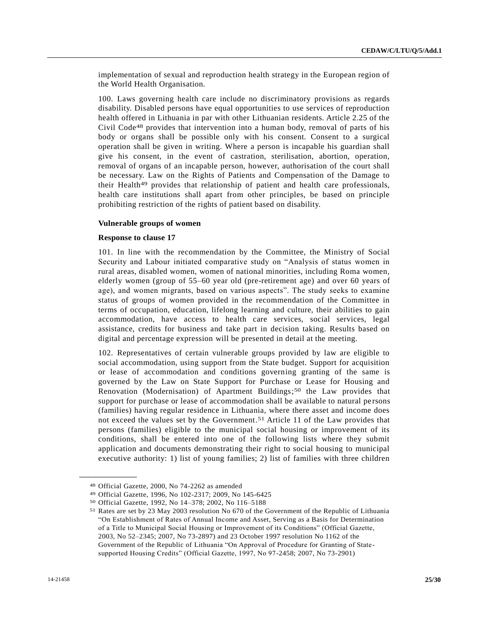implementation of sexual and reproduction health strategy in the European region of the World Health Organisation.

100. Laws governing health care include no discriminatory provisions as regards disability. Disabled persons have equal opportunities to use services of reproduction health offered in Lithuania in par with other Lithuanian residents. Article 2.25 of the Civil Code48 provides that intervention into a human body, removal of parts of his body or organs shall be possible only with his consent. Consent to a surgical operation shall be given in writing. Where a person is incapable his guardian shall give his consent, in the event of castration, sterilisation, abortion, operation, removal of organs of an incapable person, however, authorisation of the court shall be necessary. Law on the Rights of Patients and Compensation of the Damage to their Health49 provides that relationship of patient and health care professionals, health care institutions shall apart from other principles, be based on principle prohibiting restriction of the rights of patient based on disability.

## **Vulnerable groups of women**

#### **Response to clause 17**

101. In line with the recommendation by the Committee, the Ministry of Social Security and Labour initiated comparative study on "Analysis of status women in rural areas, disabled women, women of national minorities, including Roma women, elderly women (group of 55–60 year old (pre-retirement age) and over 60 years of age), and women migrants, based on various aspects". The study seeks to examine status of groups of women provided in the recommendation of the Committee in terms of occupation, education, lifelong learning and culture, their abilities to gain accommodation, have access to health care services, social services, legal assistance, credits for business and take part in decision taking. Results based on digital and percentage expression will be presented in detail at the meeting.

102. Representatives of certain vulnerable groups provided by law are eligible to social accommodation, using support from the State budget. Support for acquisition or lease of accommodation and conditions governing granting of the same is governed by the Law on State Support for Purchase or Lease for Housing and Renovation (Modernisation) of Apartment Buildings; 50 the Law provides that support for purchase or lease of accommodation shall be available to natural persons (families) having regular residence in Lithuania, where there asset and income does not exceed the values set by the Government. 51 Article 11 of the Law provides that persons (families) eligible to the municipal social housing or improvement of its conditions, shall be entered into one of the following lists where they submit application and documents demonstrating their right to social housing to municipal executive authority: 1) list of young families; 2) list of families with three children

<sup>48</sup> Official Gazette, 2000, No 74-2262 as amended

<sup>49</sup> Official Gazette, 1996, No 102-2317; 2009, No 145-6425

<sup>50</sup> Official Gazette, 1992, No 14–378; 2002, No 116–5188

<sup>51</sup> Rates are set by 23 May 2003 resolution No 670 of the Government of the Republic of Lithuania "On Establishment of Rates of Annual Income and Asset, Serving as a Basis for Determination of a Title to Municipal Social Housing or Improvement of its Conditions" (Official Gazette, 2003, No 52–2345; 2007, No 73-2897) and 23 October 1997 resolution No 1162 of the Government of the Republic of Lithuania "On Approval of Procedure for Granting of Statesupported Housing Credits" (Official Gazette, 1997, No 97-2458; 2007, No 73-2901)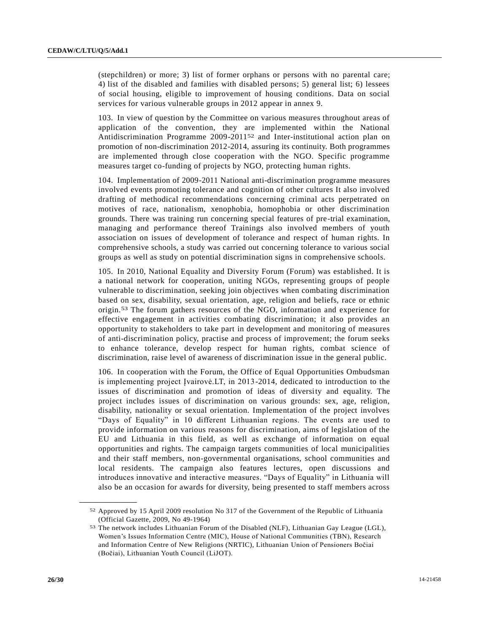(stepchildren) or more; 3) list of former orphans or persons with no parental care; 4) list of the disabled and families with disabled persons; 5) general list; 6) lessees of social housing, eligible to improvement of housing conditions. Data on social services for various vulnerable groups in 2012 appear in annex 9.

103. In view of question by the Committee on various measures throughout areas of application of the convention, they are implemented within the National Antidiscrimination Programme 2009-201152 and Inter-institutional action plan on promotion of non-discrimination 2012-2014, assuring its continuity. Both programmes are implemented through close cooperation with the NGO. Specific programme measures target co-funding of projects by NGO, protecting human rights.

104. Implementation of 2009-2011 National anti-discrimination programme measures involved events promoting tolerance and cognition of other cultures It also involved drafting of methodical recommendations concerning criminal acts perpetrated on motives of race, nationalism, xenophobia, homophobia or other discrimination grounds. There was training run concerning special features of pre-trial examination, managing and performance thereof Trainings also involved members of youth association on issues of development of tolerance and respect of human rights. In comprehensive schools, a study was carried out concerning tolerance to various social groups as well as study on potential discrimination signs in comprehensive schools.

105. In 2010, National Equality and Diversity Forum (Forum) was established. It is a national network for cooperation, uniting NGOs, representing groups of people vulnerable to discrimination, seeking join objectives when combating discrimination based on sex, disability, sexual orientation, age, religion and beliefs, race or ethnic origin.53 The forum gathers resources of the NGO, information and experience for effective engagement in activities combating discrimination; it also provides an opportunity to stakeholders to take part in development and monitoring of measures of anti-discrimination policy, practise and process of improvement; the forum seeks to enhance tolerance, develop respect for human rights, combat science of discrimination, raise level of awareness of discrimination issue in the general public.

106. In cooperation with the Forum, the Office of Equal Opportunities Ombudsman is implementing project Įvairovė.LT, in 2013-2014, dedicated to introduction to the issues of discrimination and promotion of ideas of diversity and equality. The project includes issues of discrimination on various grounds: sex, age, religion, disability, nationality or sexual orientation. Implementation of the project involves "Days of Equality" in 10 different Lithuanian regions. The events are used to provide information on various reasons for discrimination, aims of legislation of the EU and Lithuania in this field, as well as exchange of information on equal opportunities and rights. The campaign targets communities of local municipalities and their staff members, non-governmental organisations, school communities and local residents. The campaign also features lectures, open discussions and introduces innovative and interactive measures. "Days of Equality" in Lithuania will also be an occasion for awards for diversity, being presented to staff members across

<sup>52</sup> Approved by 15 April 2009 resolution No 317 of the Government of the Republic of Lithuania (Official Gazette, 2009, No 49-1964)

<sup>53</sup> The network includes Lithuanian Forum of the Disabled (NLF), Lithuanian Gay League (LGL), Women's Issues Information Centre (MIC), House of National Communities (TBN), Research and Information Centre of New Religions (NRTIC), Lithuanian Union of Pensioners Bočiai (Bočiai), Lithuanian Youth Council (LiJOT).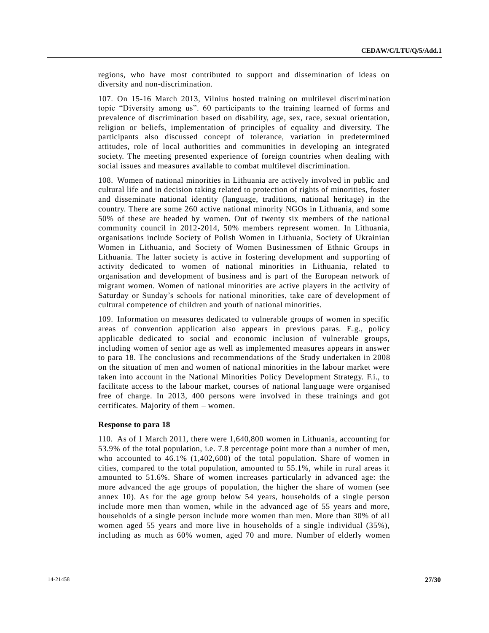regions, who have most contributed to support and dissemination of ideas on diversity and non-discrimination.

107. On 15-16 March 2013, Vilnius hosted training on multilevel discrimination topic "Diversity among us". 60 participants to the training learned of forms and prevalence of discrimination based on disability, age, sex, race, sexual orientation, religion or beliefs, implementation of principles of equality and diversity. The participants also discussed concept of tolerance, variation in predetermined attitudes, role of local authorities and communities in developing an integrated society. The meeting presented experience of foreign countries when dealing with social issues and measures available to combat multilevel discrimination.

108. Women of national minorities in Lithuania are actively involved in public and cultural life and in decision taking related to protection of rights of minorities, foster and disseminate national identity (language, traditions, national heritage) in the country. There are some 260 active national minority NGOs in Lithuania, and some 50% of these are headed by women. Out of twenty six members of the national community council in 2012-2014, 50% members represent women. In Lithuania, organisations include Society of Polish Women in Lithuania, Society of Ukrainian Women in Lithuania, and Society of Women Businessmen of Ethnic Groups in Lithuania. The latter society is active in fostering development and supporting of activity dedicated to women of national minorities in Lithuania, related to organisation and development of business and is part of the European network of migrant women. Women of national minorities are active players in the activity of Saturday or Sunday's schools for national minorities, take care of development of cultural competence of children and youth of national minorities.

109. Information on measures dedicated to vulnerable groups of women in specific areas of convention application also appears in previous paras. E.g., policy applicable dedicated to social and economic inclusion of vulnerable groups, including women of senior age as well as implemented measures appears in answer to para 18. The conclusions and recommendations of the Study undertaken in 2008 on the situation of men and women of national minorities in the labour market were taken into account in the National Minorities Policy Development Strategy. F.i., to facilitate access to the labour market, courses of national language were organised free of charge. In 2013, 400 persons were involved in these trainings and got certificates. Majority of them – women.

#### **Response to para 18**

110. As of 1 March 2011, there were 1,640,800 women in Lithuania, accounting for 53.9% of the total population, i.e. 7.8 percentage point more than a number of men, who accounted to 46.1% (1,402,600) of the total population. Share of women in cities, compared to the total population, amounted to 55.1%, while in rural areas it amounted to 51.6%. Share of women increases particularly in advanced age: the more advanced the age groups of population, the higher the share of women (see annex 10). As for the age group below 54 years, households of a single person include more men than women, while in the advanced age of 55 years and more, households of a single person include more women than men. More than 30% of all women aged 55 years and more live in households of a single individual (35%), including as much as 60% women, aged 70 and more. Number of elderly women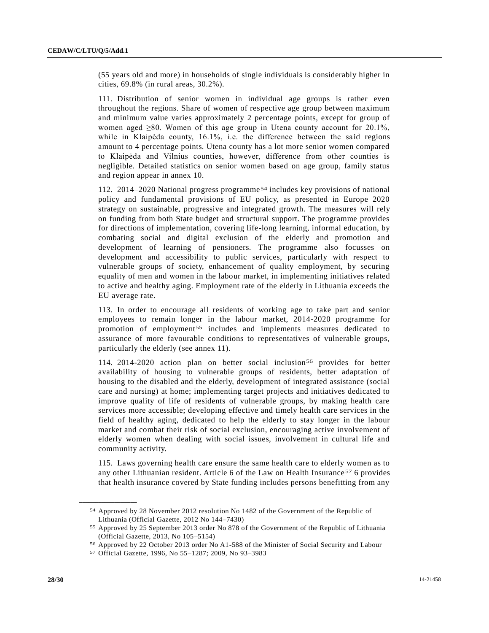(55 years old and more) in households of single individuals is considerably higher in cities, 69.8% (in rural areas, 30.2%).

111. Distribution of senior women in individual age groups is rather even throughout the regions. Share of women of respective age group between maximum and minimum value varies approximately 2 percentage points, except for group of women aged ≥80. Women of this age group in Utena county account for 20.1%, while in Klaipėda county, 16.1%, i.e. the difference between the said regions amount to 4 percentage points. Utena county has a lot more senior women compared to Klaipėda and Vilnius counties, however, difference from other counties is negligible. Detailed statistics on senior women based on age group, family status and region appear in annex 10.

112. 2014–2020 National progress programme54 includes key provisions of national policy and fundamental provisions of EU policy, as presented in Europe 2020 strategy on sustainable, progressive and integrated growth. The measures will rely on funding from both State budget and structural support. The programme provides for directions of implementation, covering life-long learning, informal education, by combating social and digital exclusion of the elderly and promotion and development of learning of pensioners. The programme also focusses on development and accessibility to public services, particularly with respect to vulnerable groups of society, enhancement of quality employment, by securing equality of men and women in the labour market, in implementing initiatives related to active and healthy aging. Employment rate of the elderly in Lithuania exceeds the EU average rate.

113. In order to encourage all residents of working age to take part and senior employees to remain longer in the labour market, 2014-2020 programme for promotion of employment<sup>55</sup> includes and implements measures dedicated to assurance of more favourable conditions to representatives of vulnerable groups, particularly the elderly (see annex 11).

114. 2014-2020 action plan on better social inclusion<sup>56</sup> provides for better availability of housing to vulnerable groups of residents, better adaptation of housing to the disabled and the elderly, development of integrated assistance (social care and nursing) at home; implementing target projects and initiatives dedicated to improve quality of life of residents of vulnerable groups, by making health care services more accessible; developing effective and timely health care services in the field of healthy aging, dedicated to help the elderly to stay longer in the labour market and combat their risk of social exclusion, encouraging active involvement of elderly women when dealing with social issues, involvement in cultural life and community activity.

115. Laws governing health care ensure the same health care to elderly women as to any other Lithuanian resident. Article 6 of the Law on Health Insurance 57 6 provides that health insurance covered by State funding includes persons benefitting from any

<sup>54</sup> Approved by 28 November 2012 resolution No 1482 of the Government of the Republic of Lithuania (Official Gazette, 2012 No 144–7430)

<sup>55</sup> Approved by 25 September 2013 order No 878 of the Government of the Republic of Lithuania (Official Gazette, 2013, No 105–5154)

<sup>56</sup> Approved by 22 October 2013 order No A1-588 of the Minister of Social Security and Labour

<sup>57</sup> Official Gazette, 1996, No 55–1287; 2009, No 93–3983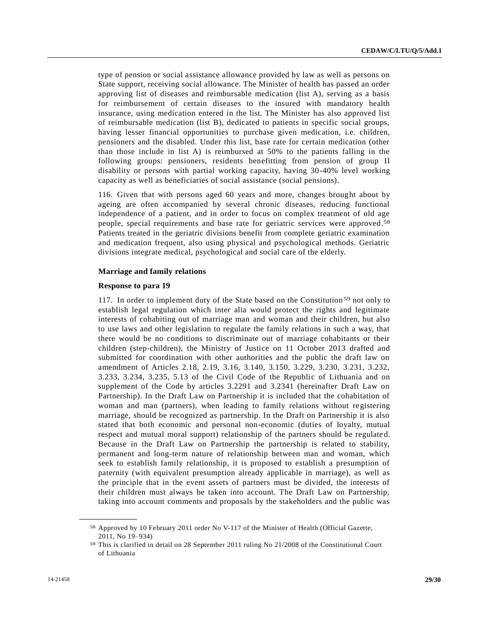type of pension or social assistance allowance provided by law as well as persons on State support, receiving social allowance. The Minister of health has passed an order approving list of diseases and reimbursable medication (list A), serving as a basis for reimbursement of certain diseases to the insured with mandatory health insurance, using medication entered in the list. The Minister has also approved list of reimbursable medication (list B), dedicated to patients in specific social groups, having lesser financial opportunities to purchase given medication, i.e. children, pensioners and the disabled. Under this list, base rate for certain medication (other than those include in list A) is reimbursed at 50% to the patients falling in the following groups: pensioners, residents benefitting from pension of group II disability or persons with partial working capacity, having 30-40% level working capacity as well as beneficiaries of social assistance (social pensions).

116. Given that with persons aged 60 years and more, changes brought about by ageing are often accompanied by several chronic diseases, reducing functional independence of a patient, and in order to focus on complex treatment of old age people, special requirements and base rate for geriatric services were approved.<sup>58</sup> Patients treated in the geriatric divisions benefit from complete geriatric examination and medication frequent, also using physical and psychological methods. Geriatric divisions integrate medical, psychological and social care of the elderly.

## **Marriage and family relations**

#### **Response to para 19**

117. In order to implement duty of the State based on the Constitution<sup>59</sup> not only to establish legal regulation which inter alia would protect the rights and legitimate interests of cohabiting out of marriage man and woman and their children, but also to use laws and other legislation to regulate the family relations in such a way, that there would be no conditions to discriminate out of marriage cohabitants or their children (step-children), the Ministry of Justice on 11 October 2013 drafted and submitted for coordination with other authorities and the public the draft law on amendment of Articles 2.18, 2.19, 3.16, 3.140, 3.150, 3.229, 3.230, 3.231, 3.232, 3.233, 3.234, 3.235, 5.13 of the Civil Code of the Republic of Lithuania and on supplement of the Code by articles 3.2291 and 3.2341 (hereinafter Draft Law on Partnership). In the Draft Law on Partnership it is included that the cohabitation of woman and man (partners), when leading to family relations without registering marriage, should be recognized as partnership. In the Draft on Partnership it is also stated that both economic and personal non-economic (duties of loyalty, mutual respect and mutual moral support) relationship of the partners should be regulate d. Because in the Draft Law on Partnership the partnership is related to stability, permanent and long-term nature of relationship between man and woman, which seek to establish family relationship, it is proposed to establish a presumption of paternity (with equivalent presumption already applicable in marriage), as well as the principle that in the event assets of partners must be divided, the interests of their children must always be taken into account. The Draft Law on Partnership, taking into account comments and proposals by the stakeholders and the public was

<sup>58</sup> Approved by 10 February 2011 order No V-117 of the Minister of Health (Official Gazette, 2011, No 19–934)

<sup>59</sup> This is clarified in detail on 28 September 2011 ruling No 21/2008 of the Constitutional Court of Lithuania